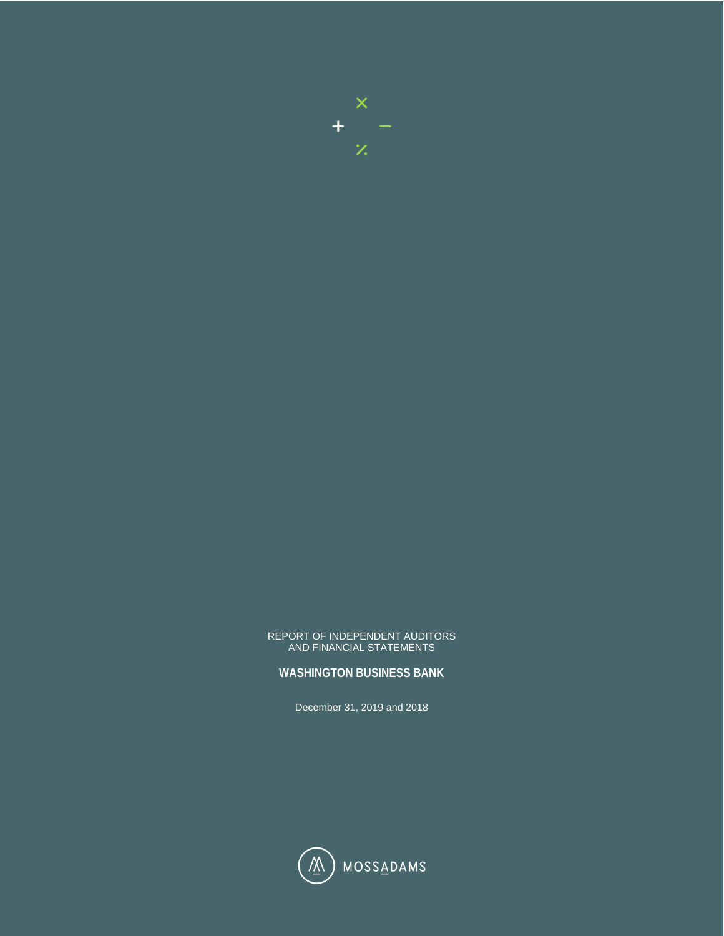<span id="page-0-0"></span>

#### <span id="page-0-3"></span><span id="page-0-2"></span><span id="page-0-1"></span>REPORT OF INDEPENDENT AUDITORS AND FINANCIAL STATEMENTS

#### **[WASHINGTON BUSINESS BANK](#page-0-0)**

December [31, 2019 and 2018](#page-0-1)

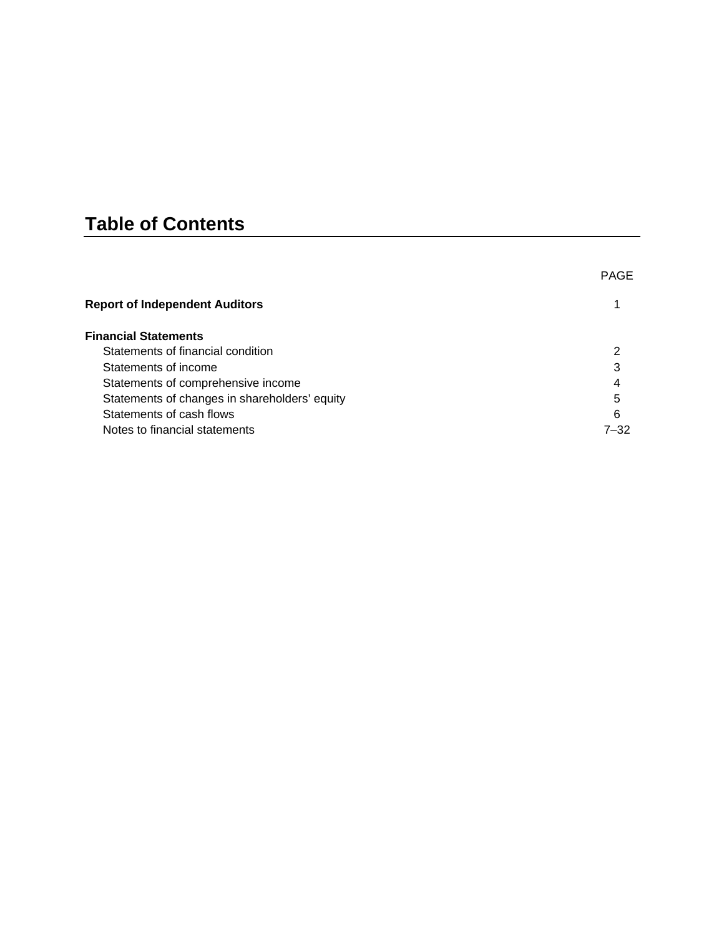# **Table of Contents**

|                                               | <b>PAGE</b> |
|-----------------------------------------------|-------------|
| <b>Report of Independent Auditors</b>         |             |
| <b>Financial Statements</b>                   |             |
| Statements of financial condition             |             |
| Statements of income                          | 3           |
| Statements of comprehensive income            | 4           |
| Statements of changes in shareholders' equity | 5           |
| Statements of cash flows                      | 6           |
| Notes to financial statements                 | $7 - 32$    |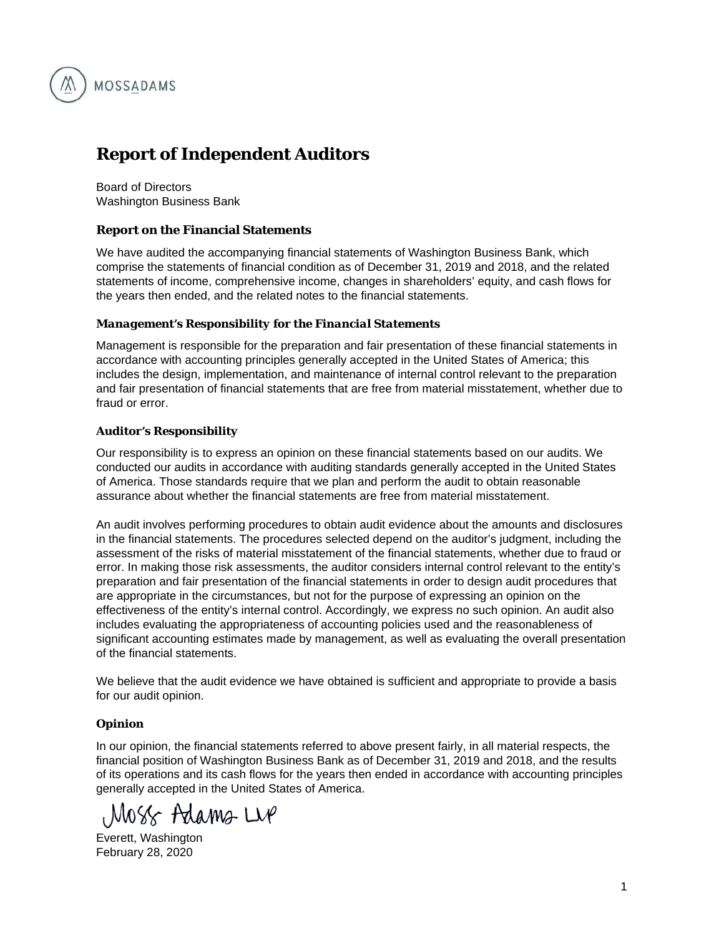

## <span id="page-2-0"></span>**Report of Independent Auditors**

Board of Directors [Washington Business Bank](#page-0-0)

#### **Report on the Financial Statements**

We have audited the accompanying financial statements of [Washington Business Bank,](#page-0-0) which comprise the statements of financial condition as of December [31, 2019 and 2018,](#page-0-1) and the related statements of income, comprehensive income, changes in shareholders' equity, and cash flows for the years then ended, and the related notes to the financial statements.

#### *Management's Responsibility for the Financial Statements*

Management is responsible for the preparation and fair presentation of these financial statements in accordance with accounting principles generally accepted in the United States of America; this includes the design, implementation, and maintenance of internal control relevant to the preparation and fair presentation of financial statements that are free from material misstatement, whether due to fraud or error.

#### *Auditor's Responsibility*

Our responsibility is to express an opinion on these financial statements based on our audits. We conducted our audits in accordance with auditing standards generally accepted in the United States of America. Those standards require that we plan and perform the audit to obtain reasonable assurance about whether the financial statements are free from material misstatement.

An audit involves performing procedures to obtain audit evidence about the amounts and disclosures in the financial statements. The procedures selected depend on the auditor's judgment, including the assessment of the risks of material misstatement of the financial statements, whether due to fraud or error. In making those risk assessments, the auditor considers internal control relevant to the entity's preparation and fair presentation of the financial statements in order to design audit procedures that are appropriate in the circumstances, but not for the purpose of expressing an opinion on the effectiveness of the entity's internal control. Accordingly, we express no such opinion. An audit also includes evaluating the appropriateness of accounting policies used and the reasonableness of significant accounting estimates made by management, as well as evaluating the overall presentation of the financial statements.

We believe that the audit evidence we have obtained is sufficient and appropriate to provide a basis for our audit opinion.

#### *Opinion*

In our opinion, the financial statements referred to above present fairly, in all material respects, the financial position of [Washington Business Bank](#page-0-0) as of December [31, 2019 and 2018,](#page-0-1) and the results of its operations and its cash flows for the years then ended in accordance with accounting principles generally accepted in the United States of America.

Moss Adams Live

Everett, Washington [February 28, 2020](#page-0-2)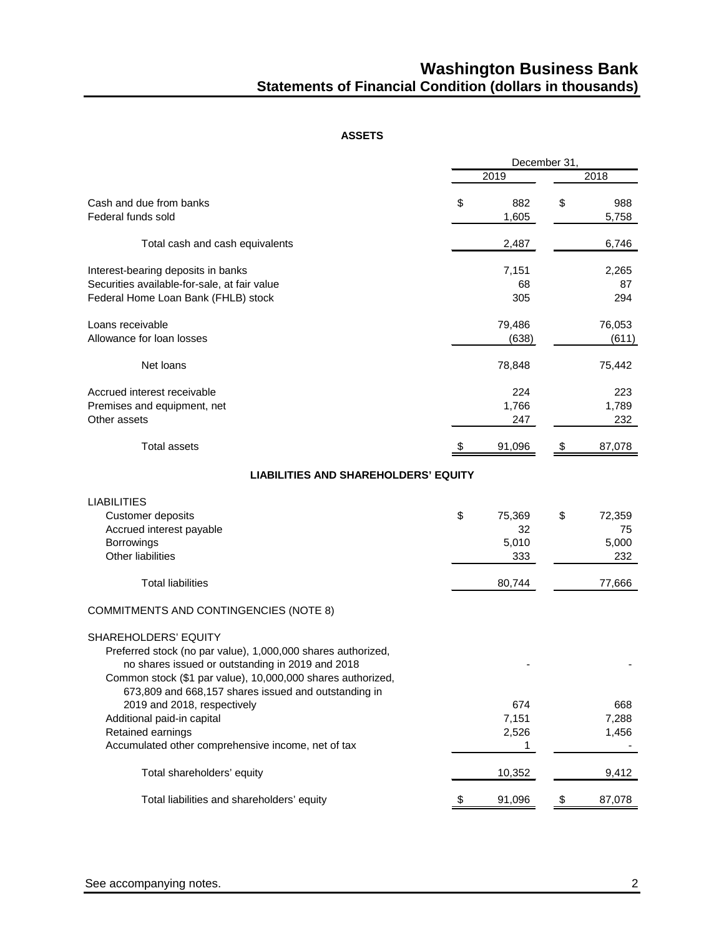## **[Washington Business Bank](#page-0-0) Statements of Financial Condition (dollars in thousands)**

#### **ASSETS**

<span id="page-3-0"></span>

|                                                                                                                                          | December 31, |                 |    |                 |  |  |  |  |  |
|------------------------------------------------------------------------------------------------------------------------------------------|--------------|-----------------|----|-----------------|--|--|--|--|--|
|                                                                                                                                          |              | 2019            |    | 2018            |  |  |  |  |  |
| Cash and due from banks<br>Federal funds sold                                                                                            | \$           | 882<br>1,605    | \$ | 988<br>5,758    |  |  |  |  |  |
| Total cash and cash equivalents                                                                                                          |              | 2,487           |    | 6,746           |  |  |  |  |  |
| Interest-bearing deposits in banks<br>Securities available-for-sale, at fair value                                                       |              | 7,151<br>68     |    | 2,265<br>87     |  |  |  |  |  |
| Federal Home Loan Bank (FHLB) stock                                                                                                      |              | 305             |    | 294             |  |  |  |  |  |
| Loans receivable<br>Allowance for loan losses                                                                                            |              | 79,486<br>(638) |    | 76,053<br>(611) |  |  |  |  |  |
| Net loans                                                                                                                                |              | 78,848          |    | 75,442          |  |  |  |  |  |
| Accrued interest receivable                                                                                                              |              | 224             |    | 223             |  |  |  |  |  |
| Premises and equipment, net<br>Other assets                                                                                              |              | 1,766<br>247    |    | 1,789<br>232    |  |  |  |  |  |
| <b>Total assets</b>                                                                                                                      |              | 91,096          | \$ | 87,078          |  |  |  |  |  |
| <b>LIABILITIES AND SHAREHOLDERS' EQUITY</b>                                                                                              |              |                 |    |                 |  |  |  |  |  |
| <b>LIABILITIES</b>                                                                                                                       |              |                 |    |                 |  |  |  |  |  |
| Customer deposits                                                                                                                        | \$           | 75,369          | \$ | 72,359          |  |  |  |  |  |
| Accrued interest payable                                                                                                                 |              | 32              |    | 75              |  |  |  |  |  |
| Borrowings                                                                                                                               |              | 5,010           |    | 5,000           |  |  |  |  |  |
| <b>Other liabilities</b>                                                                                                                 |              | 333             |    | 232             |  |  |  |  |  |
| <b>Total liabilities</b>                                                                                                                 |              | 80,744          |    | 77,666          |  |  |  |  |  |
| <b>COMMITMENTS AND CONTINGENCIES (NOTE 8)</b>                                                                                            |              |                 |    |                 |  |  |  |  |  |
| SHAREHOLDERS' EQUITY<br>Preferred stock (no par value), 1,000,000 shares authorized,<br>no shares issued or outstanding in 2019 and 2018 |              |                 |    |                 |  |  |  |  |  |
| Common stock (\$1 par value), 10,000,000 shares authorized,<br>673,809 and 668,157 shares issued and outstanding in                      |              |                 |    |                 |  |  |  |  |  |
| 2019 and 2018, respectively                                                                                                              |              | 674             |    | 668             |  |  |  |  |  |
| Additional paid-in capital                                                                                                               |              | 7,151           |    | 7,288           |  |  |  |  |  |
| Retained earnings                                                                                                                        |              | 2,526           |    | 1,456           |  |  |  |  |  |
| Accumulated other comprehensive income, net of tax                                                                                       |              | 1               |    |                 |  |  |  |  |  |
| Total shareholders' equity                                                                                                               |              | 10,352          |    | 9,412           |  |  |  |  |  |
| Total liabilities and shareholders' equity                                                                                               | \$           | 91,096          | \$ | 87,078          |  |  |  |  |  |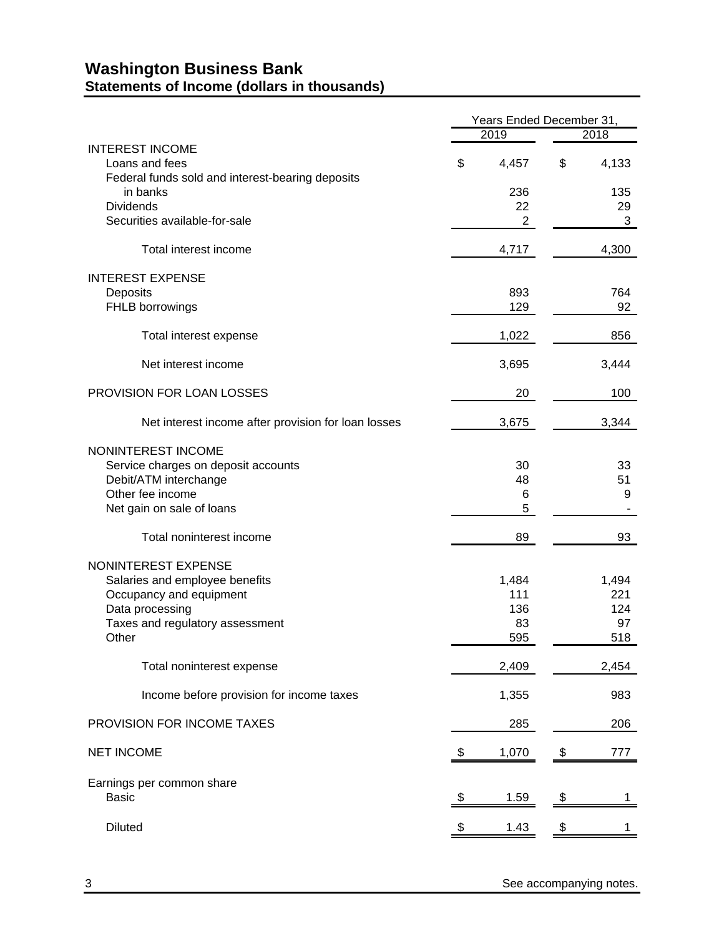### <span id="page-4-0"></span>**[Washington Business Bank](#page-0-0) Statements of Income (dollars in thousands)**

|                                                                                              |                | Years Ended December 31, |           |  |  |  |
|----------------------------------------------------------------------------------------------|----------------|--------------------------|-----------|--|--|--|
|                                                                                              | 2019           |                          | 2018      |  |  |  |
| <b>INTEREST INCOME</b><br>Loans and fees<br>Federal funds sold and interest-bearing deposits | \$<br>4,457    | \$                       | 4,133     |  |  |  |
| in banks<br><b>Dividends</b>                                                                 | 236<br>22      |                          | 135<br>29 |  |  |  |
| Securities available-for-sale                                                                | $\overline{c}$ |                          | 3         |  |  |  |
| Total interest income                                                                        | 4,717          |                          | 4,300     |  |  |  |
| <b>INTEREST EXPENSE</b>                                                                      |                |                          |           |  |  |  |
| Deposits<br>FHLB borrowings                                                                  | 893<br>129     |                          | 764<br>92 |  |  |  |
| Total interest expense                                                                       | 1,022          |                          | 856       |  |  |  |
| Net interest income                                                                          | 3,695          |                          | 3,444     |  |  |  |
| PROVISION FOR LOAN LOSSES                                                                    | 20             |                          | 100       |  |  |  |
| Net interest income after provision for loan losses                                          | 3,675          |                          | 3,344     |  |  |  |
| NONINTEREST INCOME<br>Service charges on deposit accounts                                    | 30             |                          | 33        |  |  |  |
| Debit/ATM interchange                                                                        | 48             |                          | 51        |  |  |  |
| Other fee income                                                                             | 6              |                          | 9         |  |  |  |
| Net gain on sale of loans                                                                    | 5              |                          |           |  |  |  |
| Total noninterest income                                                                     | 89             |                          | 93        |  |  |  |
| NONINTEREST EXPENSE<br>Salaries and employee benefits                                        | 1,484          |                          | 1,494     |  |  |  |
| Occupancy and equipment                                                                      | 111            |                          | 221       |  |  |  |
| Data processing                                                                              | 136            |                          | 124       |  |  |  |
| Taxes and regulatory assessment                                                              | 83             |                          | 97        |  |  |  |
| Other                                                                                        | 595            |                          | 518       |  |  |  |
| Total noninterest expense                                                                    | 2,409          |                          | 2,454     |  |  |  |
| Income before provision for income taxes                                                     | 1,355          |                          | 983       |  |  |  |
| PROVISION FOR INCOME TAXES                                                                   | 285            |                          | 206       |  |  |  |
| <b>NET INCOME</b>                                                                            | \$<br>1,070    | \$                       | 777       |  |  |  |
| Earnings per common share<br><b>Basic</b>                                                    | \$<br>1.59     | \$                       | 1         |  |  |  |
| <b>Diluted</b>                                                                               | \$<br>1.43     | \$                       | 1         |  |  |  |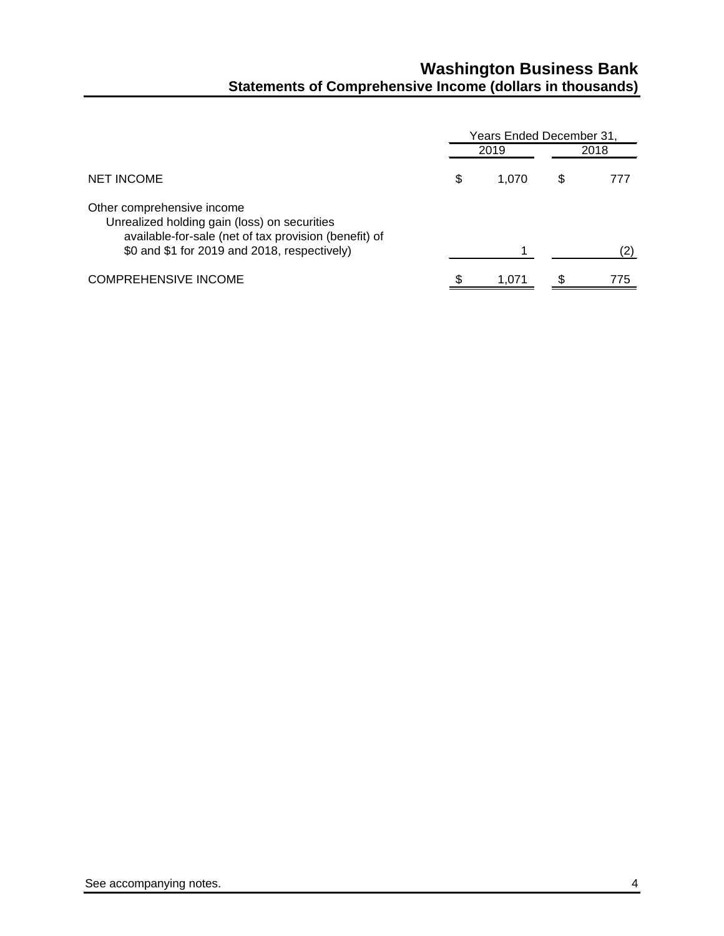## **[Washington Business Bank](#page-0-0) Statements of Comprehensive Income (dollars in thousands)**

<span id="page-5-0"></span>

|                                                                                                                                                                                     | Years Ended December 31, |   |      |  |  |
|-------------------------------------------------------------------------------------------------------------------------------------------------------------------------------------|--------------------------|---|------|--|--|
|                                                                                                                                                                                     | 2019                     |   | 2018 |  |  |
| <b>NET INCOME</b>                                                                                                                                                                   | \$<br>1.070              | S | 777  |  |  |
| Other comprehensive income<br>Unrealized holding gain (loss) on securities<br>available-for-sale (net of tax provision (benefit) of<br>\$0 and \$1 for 2019 and 2018, respectively) |                          |   |      |  |  |
| <b>COMPREHENSIVE INCOME</b>                                                                                                                                                         | \$<br>1.071              |   | 775  |  |  |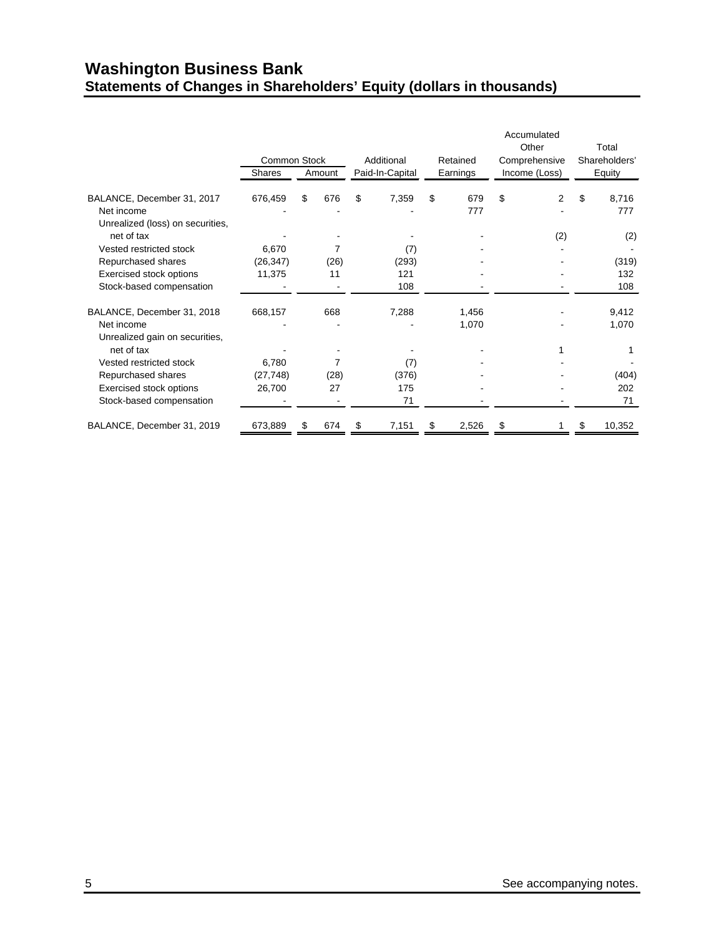## <span id="page-6-0"></span>**[Washington Business Bank](#page-0-0) Statements of Changes in Shareholders' Equity (dollars in thousands)**

|                                                                              | <b>Common Stock</b> |           |           | Additional      | Retained         | Accumulated<br>Other<br>Comprehensive |        | Total<br>Shareholders' |  |
|------------------------------------------------------------------------------|---------------------|-----------|-----------|-----------------|------------------|---------------------------------------|--------|------------------------|--|
|                                                                              | Shares              | Amount    |           | Paid-In-Capital | Earnings         | Income (Loss)                         | Equity |                        |  |
| BALANCE, December 31, 2017<br>Net income<br>Unrealized (loss) on securities, | 676,459             | \$<br>676 |           | \$<br>7,359     | \$<br>679<br>777 | \$<br>$\overline{2}$                  | \$     | 8,716<br>777           |  |
| net of tax                                                                   |                     |           |           |                 |                  | (2)                                   |        | (2)                    |  |
| Vested restricted stock<br>Repurchased shares                                | 6,670<br>(26, 347)  |           | (26)      | (7)<br>(293)    |                  |                                       |        | (319)                  |  |
| Exercised stock options                                                      | 11,375              |           | 11        | 121             |                  |                                       |        | 132                    |  |
| Stock-based compensation                                                     |                     |           |           | 108             |                  |                                       |        | 108                    |  |
| BALANCE, December 31, 2018<br>Net income<br>Unrealized gain on securities,   | 668,157             | 668       |           | 7,288           | 1,456<br>1,070   |                                       |        | 9,412<br>1,070         |  |
| net of tax                                                                   |                     |           |           |                 |                  |                                       |        |                        |  |
| Vested restricted stock<br>Repurchased shares                                | 6,780<br>(27, 748)  |           | 7<br>(28) | (7)<br>(376)    |                  |                                       |        | (404)                  |  |
| <b>Exercised stock options</b><br>Stock-based compensation                   | 26,700              |           | 27        | 175<br>71       |                  |                                       |        | 202<br>71              |  |
| BALANCE, December 31, 2019                                                   | 673,889             | 674<br>S  |           | 7,151<br>S      | 2,526            | \$                                    |        | 10,352                 |  |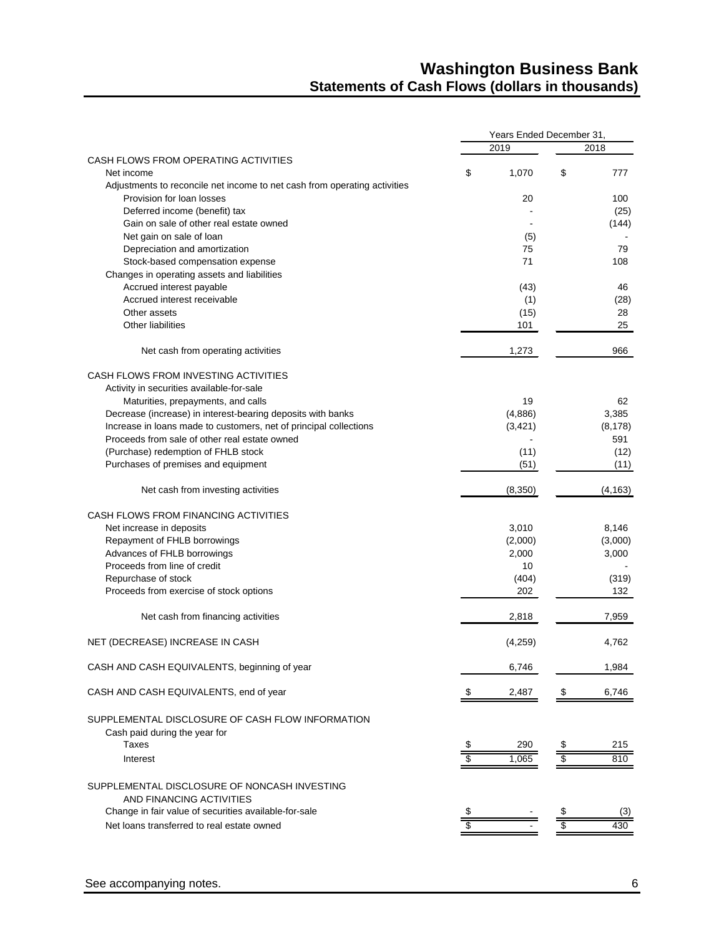## **[Washington Business Bank](#page-0-0) Statements of Cash Flows (dollars in thousands)**

<span id="page-7-0"></span>

|                                                                           |             | Years Ended December 31, |  |  |  |
|---------------------------------------------------------------------------|-------------|--------------------------|--|--|--|
|                                                                           | 2019        | 2018                     |  |  |  |
| CASH FLOWS FROM OPERATING ACTIVITIES                                      |             |                          |  |  |  |
| Net income                                                                | \$<br>1.070 | \$<br>777                |  |  |  |
| Adjustments to reconcile net income to net cash from operating activities |             |                          |  |  |  |
| Provision for loan losses                                                 | 20          | 100                      |  |  |  |
| Deferred income (benefit) tax                                             |             | (25)                     |  |  |  |
| Gain on sale of other real estate owned                                   |             | (144)                    |  |  |  |
| Net gain on sale of loan                                                  | (5)         |                          |  |  |  |
| Depreciation and amortization                                             | 75          | 79                       |  |  |  |
| Stock-based compensation expense                                          | 71          | 108                      |  |  |  |
| Changes in operating assets and liabilities                               |             |                          |  |  |  |
| Accrued interest payable                                                  | (43)        | 46                       |  |  |  |
| Accrued interest receivable                                               | (1)         | (28)                     |  |  |  |
| Other assets                                                              | (15)        | 28                       |  |  |  |
| <b>Other liabilities</b>                                                  | 101         | 25                       |  |  |  |
|                                                                           |             |                          |  |  |  |
| Net cash from operating activities                                        | 1,273       | 966                      |  |  |  |
| CASH FLOWS FROM INVESTING ACTIVITIES                                      |             |                          |  |  |  |
| Activity in securities available-for-sale                                 |             |                          |  |  |  |
| Maturities, prepayments, and calls                                        | 19          | 62                       |  |  |  |
| Decrease (increase) in interest-bearing deposits with banks               | (4,886)     | 3,385                    |  |  |  |
| Increase in loans made to customers, net of principal collections         | (3, 421)    | (8, 178)                 |  |  |  |
| Proceeds from sale of other real estate owned                             |             | 591                      |  |  |  |
| (Purchase) redemption of FHLB stock                                       | (11)        | (12)                     |  |  |  |
| Purchases of premises and equipment                                       | (51)        | (11)                     |  |  |  |
|                                                                           |             |                          |  |  |  |
| Net cash from investing activities                                        | (8,350)     | (4, 163)                 |  |  |  |
| CASH FLOWS FROM FINANCING ACTIVITIES                                      |             |                          |  |  |  |
| Net increase in deposits                                                  | 3,010       | 8,146                    |  |  |  |
| Repayment of FHLB borrowings                                              | (2,000)     | (3,000)                  |  |  |  |
| Advances of FHLB borrowings                                               | 2,000       | 3,000                    |  |  |  |
| Proceeds from line of credit                                              | 10          |                          |  |  |  |
| Repurchase of stock                                                       | (404)       | (319)                    |  |  |  |
| Proceeds from exercise of stock options                                   | 202         | 132                      |  |  |  |
|                                                                           |             |                          |  |  |  |
| Net cash from financing activities                                        | 2,818       | 7,959                    |  |  |  |
| NET (DECREASE) INCREASE IN CASH                                           | (4,259)     | 4,762                    |  |  |  |
| CASH AND CASH EQUIVALENTS, beginning of year                              | 6,746       | 1,984                    |  |  |  |
| CASH AND CASH EQUIVALENTS, end of year                                    | 2,487<br>S  | 6,746<br>\$              |  |  |  |
| SUPPLEMENTAL DISCLOSURE OF CASH FLOW INFORMATION                          |             |                          |  |  |  |
| Cash paid during the year for                                             |             |                          |  |  |  |
| Taxes                                                                     | 290<br>\$   | 215<br>\$                |  |  |  |
| Interest                                                                  | \$<br>1,065 | \$<br>810                |  |  |  |
|                                                                           |             |                          |  |  |  |
| SUPPLEMENTAL DISCLOSURE OF NONCASH INVESTING                              |             |                          |  |  |  |
| AND FINANCING ACTIVITIES                                                  |             |                          |  |  |  |
| Change in fair value of securities available-for-sale                     | \$          | (3)                      |  |  |  |
| Net loans transferred to real estate owned                                | S           | \$<br>430                |  |  |  |
|                                                                           |             |                          |  |  |  |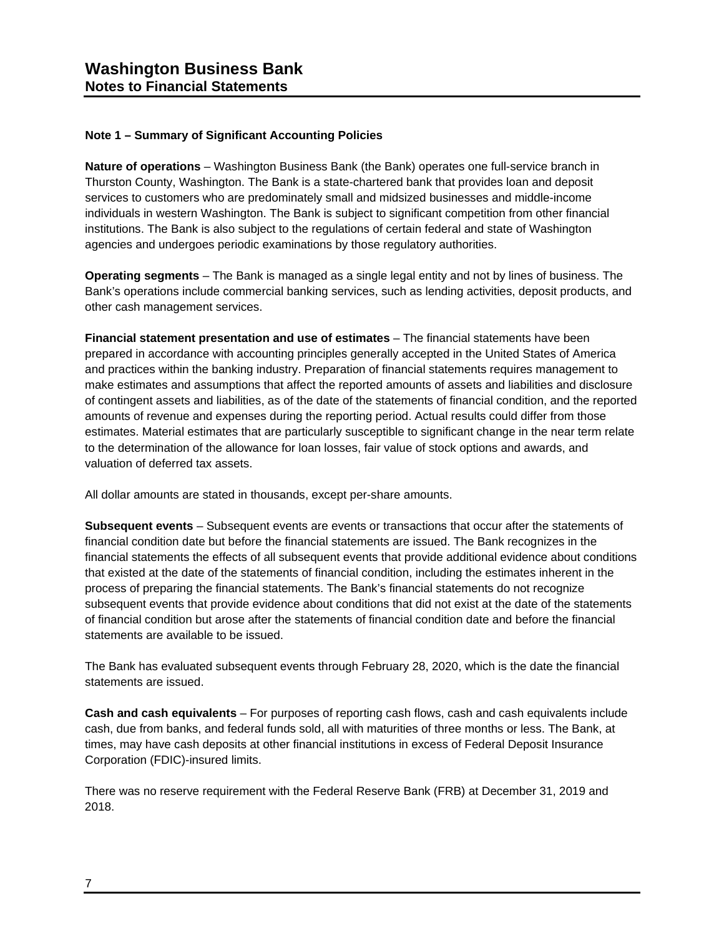#### <span id="page-8-0"></span>**Note 1 – Summary of Significant Accounting Policies**

**Nature of operations** – [Washington Business Bank](#page-0-0) (the [Bank\)](#page-0-3) operates one full-service branch in Thurston County, Washington. The [Bank](#page-0-3) is a state-chartered bank that provides loan and deposit services to customers who are predominately small and midsized businesses and middle-income individuals in western Washington. The [Bank](#page-0-3) is subject to significant competition from other financial institutions. The [Bank](#page-0-3) is also subject to the regulations of certain federal and state of Washington agencies and undergoes periodic examinations by those regulatory authorities.

**Operating segments** – The Bank is managed as a single legal entity and not by lines of business. The Bank's operations include commercial banking services, such as lending activities, deposit products, and other cash management services.

**Financial statement presentation and use of estimates** – The financial statements have been prepared in accordance with accounting principles generally accepted in the United States of America and practices within the banking industry. Preparation of financial statements requires management to make estimates and assumptions that affect the reported amounts of assets and liabilities and disclosure of contingent assets and liabilities, as of the date of the statements of financial condition, and the reported amounts of revenue and expenses during the reporting period. Actual results could differ from those estimates. Material estimates that are particularly susceptible to significant change in the near term relate to the determination of the allowance for loan losses, fair value of stock options and awards, and valuation of deferred tax assets.

All dollar amounts are stated in thousands, except per-share amounts.

**Subsequent events** – Subsequent events are events or transactions that occur after the statements of financial condition date but before the financial statements are issued. The [Bank](#page-0-3) recognizes in the financial statements the effects of all subsequent events that provide additional evidence about conditions that existed at the date of the statements of financial condition, including the estimates inherent in the process of preparing the financial statements. The [Bank's](#page-0-3) financial statements do not recognize subsequent events that provide evidence about conditions that did not exist at the date of the statements of financial condition but arose after the statements of financial condition date and before the financial statements are available to be issued.

The [Bank](#page-0-3) has evaluated subsequent events through [February 28, 2020,](#page-0-2) which is the date the financial statements are issued.

**Cash and cash equivalents** – For purposes of reporting cash flows, cash and cash equivalents include cash, due from banks, and federal funds sold, all with maturities of three months or less. The [Bank,](#page-0-3) at times, may have cash deposits at other financial institutions in excess of Federal Deposit Insurance Corporation (FDIC)-insured limits.

There was no reserve requirement with the Federal Reserve [Bank](#page-0-3) (FRB) at December [31, 2019 and](#page-0-1)  [2018.](#page-0-1)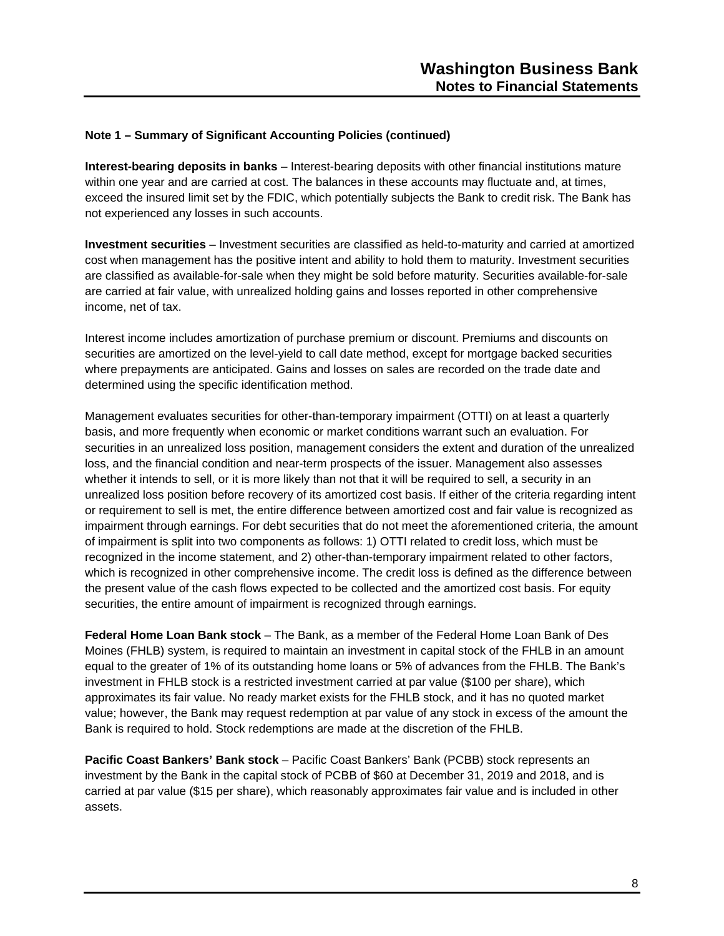**Interest-bearing deposits in banks** – Interest-bearing deposits with other financial institutions mature within one year and are carried at cost. The balances in these accounts may fluctuate and, at times, exceed the insured limit set by the FDIC, which potentially subjects the [Bank](#page-0-3) to credit risk. The [Bank](#page-0-3) has not experienced any losses in such accounts.

**Investment securities** – Investment securities are classified as held-to-maturity and carried at amortized cost when management has the positive intent and ability to hold them to maturity. Investment securities are classified as available-for-sale when they might be sold before maturity. Securities available-for-sale are carried at fair value, with unrealized holding gains and losses reported in other comprehensive income, net of tax.

Interest income includes amortization of purchase premium or discount. Premiums and discounts on securities are amortized on the level-yield to call date method, except for mortgage backed securities where prepayments are anticipated. Gains and losses on sales are recorded on the trade date and determined using the specific identification method.

Management evaluates securities for other-than-temporary impairment (OTTI) on at least a quarterly basis, and more frequently when economic or market conditions warrant such an evaluation. For securities in an unrealized loss position, management considers the extent and duration of the unrealized loss, and the financial condition and near-term prospects of the issuer. Management also assesses whether it intends to sell, or it is more likely than not that it will be required to sell, a security in an unrealized loss position before recovery of its amortized cost basis. If either of the criteria regarding intent or requirement to sell is met, the entire difference between amortized cost and fair value is recognized as impairment through earnings. For debt securities that do not meet the aforementioned criteria, the amount of impairment is split into two components as follows: 1) OTTI related to credit loss, which must be recognized in the income statement, and 2) other-than-temporary impairment related to other factors, which is recognized in other comprehensive income. The credit loss is defined as the difference between the present value of the cash flows expected to be collected and the amortized cost basis. For equity securities, the entire amount of impairment is recognized through earnings.

**Federal Home Loan Bank stock** – The [Bank,](#page-0-3) as a member of the Federal Home Loan Bank of Des Moines (FHLB) system, is required to maintain an investment in capital stock of the FHLB in an amount equal to the greater of 1% of its outstanding home loans or 5% of advances from the FHLB. The [Bank's](#page-0-3) investment in FHLB stock is a restricted investment carried at par value (\$100 per share), which approximates its fair value. No ready market exists for the FHLB stock, and it has no quoted market value; however, the [Bank](#page-0-3) may request redemption at par value of any stock in excess of the amount the [Bank](#page-0-3) is required to hold. Stock redemptions are made at the discretion of the FHLB.

**Pacific Coast Bankers' Bank stock** – Pacific Coast Bankers' Bank (PCBB) stock represents an investment by the [Bank](#page-0-3) in the capital stock of PCBB of \$60 at December [31, 2019 and 2018,](#page-0-1) and is carried at par value (\$15 per share), which reasonably approximates fair value and is included in other assets.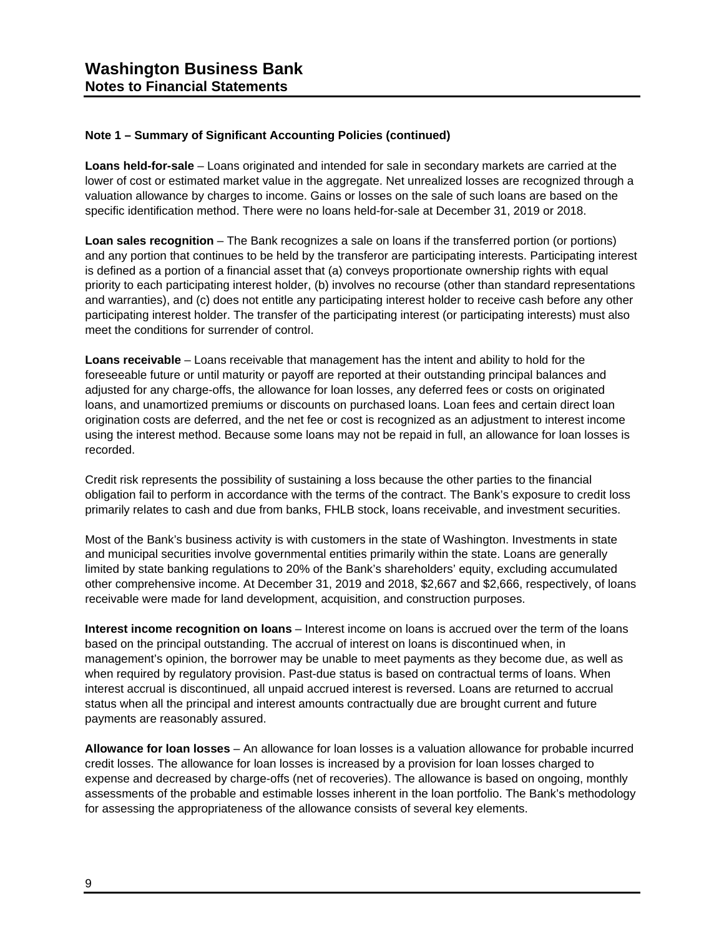**Loans held-for-sale** – Loans originated and intended for sale in secondary markets are carried at the lower of cost or estimated market value in the aggregate. Net unrealized losses are recognized through a valuation allowance by charges to income. Gains or losses on the sale of such loans are based on the specific identification method. There were no loans held-for-sale at [December](#page-0-3) 31, 2019 or [2018.](#page-0-1)

**Loan sales recognition** – The [Bank](#page-0-3) recognizes a sale on loans if the transferred portion (or portions) and any portion that continues to be held by the transferor are participating interests. Participating interest is defined as a portion of a financial asset that (a) conveys proportionate ownership rights with equal priority to each participating interest holder, (b) involves no recourse (other than standard representations and warranties), and (c) does not entitle any participating interest holder to receive cash before any other participating interest holder. The transfer of the participating interest (or participating interests) must also meet the conditions for surrender of control.

**Loans receivable** – Loans receivable that management has the intent and ability to hold for the foreseeable future or until maturity or payoff are reported at their outstanding principal balances and adjusted for any charge-offs, the allowance for loan losses, any deferred fees or costs on originated loans, and unamortized premiums or discounts on purchased loans. Loan fees and certain direct loan origination costs are deferred, and the net fee or cost is recognized as an adjustment to interest income using the interest method. Because some loans may not be repaid in full, an allowance for loan losses is recorded.

Credit risk represents the possibility of sustaining a loss because the other parties to the financial obligation fail to perform in accordance with the terms of the contract. The [Bank's](#page-0-3) exposure to credit loss primarily relates to cash and due from banks, FHLB stock, loans receivable, and investment securities.

Most of the [Bank'](#page-0-3)s business activity is with customers in the state of Washington. Investments in state and municipal securities involve governmental entities primarily within the state. Loans are generally limited by state banking regulations to 20% of the [Bank's](#page-0-3) shareholders' equity, excluding accumulated other comprehensive income. At December [31, 2019 and 2018,](#page-0-1) \$2,667 and \$2,666, respectively, of loans receivable were made for land development, acquisition, and construction purposes.

**Interest income recognition on loans** – Interest income on loans is accrued over the term of the loans based on the principal outstanding. The accrual of interest on loans is discontinued when, in management's opinion, the borrower may be unable to meet payments as they become due, as well as when required by regulatory provision. Past-due status is based on contractual terms of loans. When interest accrual is discontinued, all unpaid accrued interest is reversed. Loans are returned to accrual status when all the principal and interest amounts contractually due are brought current and future payments are reasonably assured.

**Allowance for loan losses** – An allowance for loan losses is a valuation allowance for probable incurred credit losses. The allowance for loan losses is increased by a provision for loan losses charged to expense and decreased by charge-offs (net of recoveries). The allowance is based on ongoing, monthly assessments of the probable and estimable losses inherent in the loan portfolio. The [Bank's](#page-0-3) methodology for assessing the appropriateness of the allowance consists of several key elements.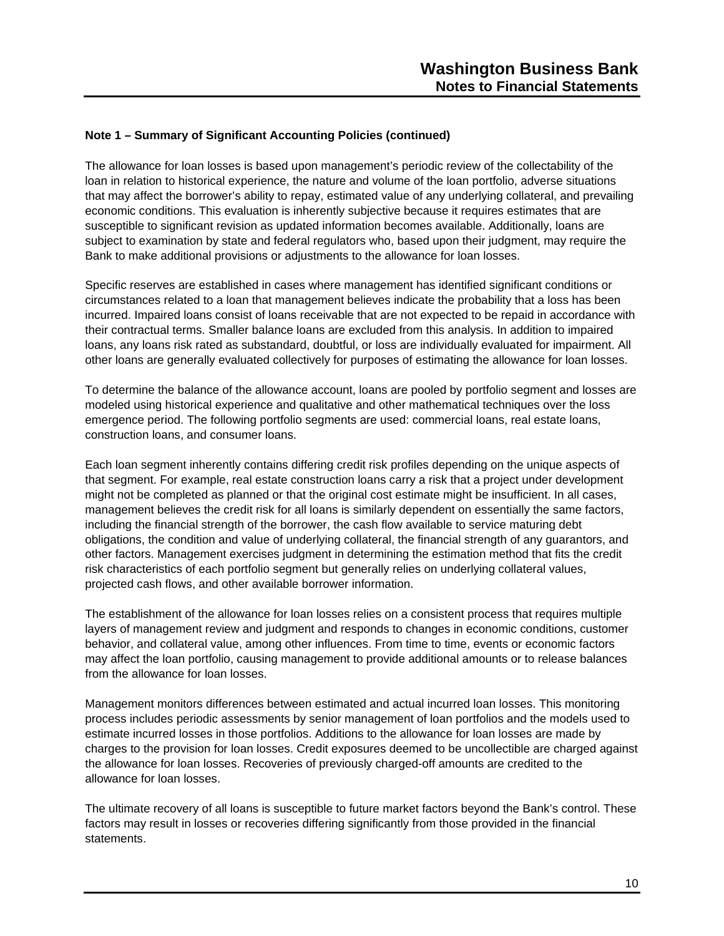The allowance for loan losses is based upon management's periodic review of the collectability of the loan in relation to historical experience, the nature and volume of the loan portfolio, adverse situations that may affect the borrower's ability to repay, estimated value of any underlying collateral, and prevailing economic conditions. This evaluation is inherently subjective because it requires estimates that are susceptible to significant revision as updated information becomes available. Additionally, loans are subject to examination by state and federal regulators who, based upon their judgment, may require the [Bank](#page-0-3) to make additional provisions or adjustments to the allowance for loan losses.

Specific reserves are established in cases where management has identified significant conditions or circumstances related to a loan that management believes indicate the probability that a loss has been incurred. Impaired loans consist of loans receivable that are not expected to be repaid in accordance with their contractual terms. Smaller balance loans are excluded from this analysis. In addition to impaired loans, any loans risk rated as substandard, doubtful, or loss are individually evaluated for impairment. All other loans are generally evaluated collectively for purposes of estimating the allowance for loan losses.

To determine the balance of the allowance account, loans are pooled by portfolio segment and losses are modeled using historical experience and qualitative and other mathematical techniques over the loss emergence period. The following portfolio segments are used: commercial loans, real estate loans, construction loans, and consumer loans.

Each loan segment inherently contains differing credit risk profiles depending on the unique aspects of that segment. For example, real estate construction loans carry a risk that a project under development might not be completed as planned or that the original cost estimate might be insufficient. In all cases, management believes the credit risk for all loans is similarly dependent on essentially the same factors, including the financial strength of the borrower, the cash flow available to service maturing debt obligations, the condition and value of underlying collateral, the financial strength of any guarantors, and other factors. Management exercises judgment in determining the estimation method that fits the credit risk characteristics of each portfolio segment but generally relies on underlying collateral values, projected cash flows, and other available borrower information.

The establishment of the allowance for loan losses relies on a consistent process that requires multiple layers of management review and judgment and responds to changes in economic conditions, customer behavior, and collateral value, among other influences. From time to time, events or economic factors may affect the loan portfolio, causing management to provide additional amounts or to release balances from the allowance for loan losses.

Management monitors differences between estimated and actual incurred loan losses. This monitoring process includes periodic assessments by senior management of loan portfolios and the models used to estimate incurred losses in those portfolios. Additions to the allowance for loan losses are made by charges to the provision for loan losses. Credit exposures deemed to be uncollectible are charged against the allowance for loan losses. Recoveries of previously charged-off amounts are credited to the allowance for loan losses.

The ultimate recovery of all loans is susceptible to future market factors beyond the [Bank'](#page-0-3)s control. These factors may result in losses or recoveries differing significantly from those provided in the financial statements.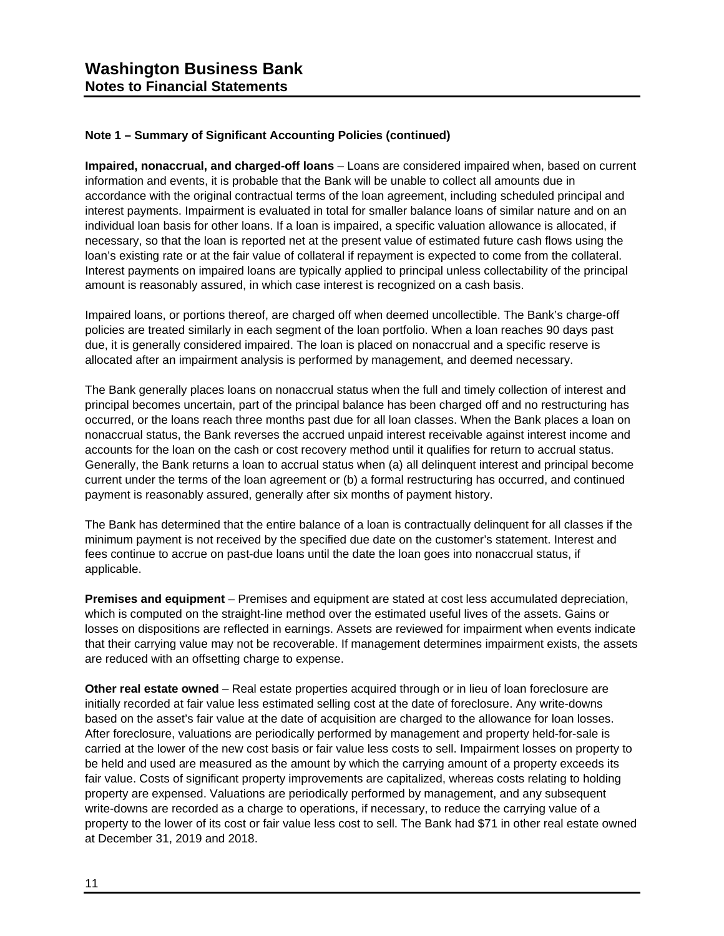**Impaired, nonaccrual, and charged-off loans** – Loans are considered impaired when, based on current information and events, it is probable that the [Bank](#page-0-3) will be unable to collect all amounts due in accordance with the original contractual terms of the loan agreement, including scheduled principal and interest payments. Impairment is evaluated in total for smaller balance loans of similar nature and on an individual loan basis for other loans. If a loan is impaired, a specific valuation allowance is allocated, if necessary, so that the loan is reported net at the present value of estimated future cash flows using the loan's existing rate or at the fair value of collateral if repayment is expected to come from the collateral. Interest payments on impaired loans are typically applied to principal unless collectability of the principal amount is reasonably assured, in which case interest is recognized on a cash basis.

Impaired loans, or portions thereof, are charged off when deemed uncollectible. The [Bank'](#page-0-3)s charge-off policies are treated similarly in each segment of the loan portfolio. When a loan reaches 90 days past due, it is generally considered impaired. The loan is placed on nonaccrual and a specific reserve is allocated after an impairment analysis is performed by management, and deemed necessary.

The [Bank](#page-0-3) generally places loans on nonaccrual status when the full and timely collection of interest and principal becomes uncertain, part of the principal balance has been charged off and no restructuring has occurred, or the loans reach three months past due for all loan classes. When the [Bank](#page-0-3) places a loan on nonaccrual status, the [Bank](#page-0-3) reverses the accrued unpaid interest receivable against interest income and accounts for the loan on the cash or cost recovery method until it qualifies for return to accrual status. Generally, the [Bank](#page-0-3) returns a loan to accrual status when (a) all delinquent interest and principal become current under the terms of the loan agreement or (b) a formal restructuring has occurred, and continued payment is reasonably assured, generally after six months of payment history.

The [Bank](#page-0-3) has determined that the entire balance of a loan is contractually delinquent for all classes if the minimum payment is not received by the specified due date on the customer's statement. Interest and fees continue to accrue on past-due loans until the date the loan goes into nonaccrual status, if applicable.

**Premises and equipment** – Premises and equipment are stated at cost less accumulated depreciation, which is computed on the straight-line method over the estimated useful lives of the assets. Gains or losses on dispositions are reflected in earnings. Assets are reviewed for impairment when events indicate that their carrying value may not be recoverable. If management determines impairment exists, the assets are reduced with an offsetting charge to expense.

**Other real estate owned** – Real estate properties acquired through or in lieu of loan foreclosure are initially recorded at fair value less estimated selling cost at the date of foreclosure. Any write-downs based on the asset's fair value at the date of acquisition are charged to the allowance for loan losses. After foreclosure, valuations are periodically performed by management and property held-for-sale is carried at the lower of the new cost basis or fair value less costs to sell. Impairment losses on property to be held and used are measured as the amount by which the carrying amount of a property exceeds its fair value. Costs of significant property improvements are capitalized, whereas costs relating to holding property are expensed. Valuations are periodically performed by management, and any subsequent write-downs are recorded as a charge to operations, if necessary, to reduce the carrying value of a property to the lower of its cost or fair value less cost to sell. The Bank had \$71 in other real estate owned at December [31, 2019 and 2018.](#page-0-1)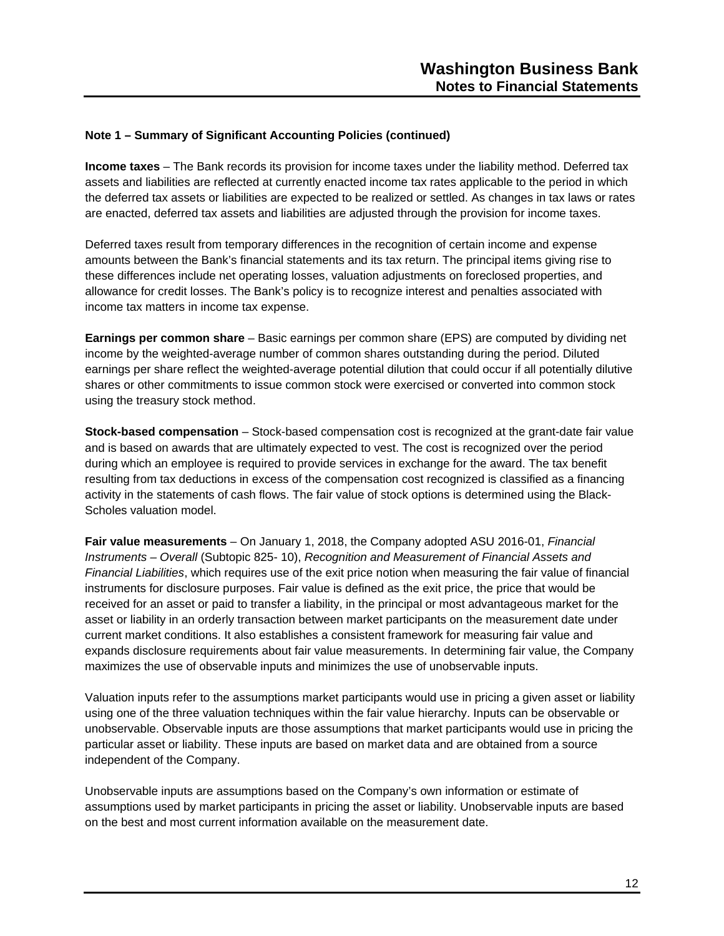**Income taxes** – The [Bank](#page-0-3) records its provision for income taxes under the liability method. Deferred tax assets and liabilities are reflected at currently enacted income tax rates applicable to the period in which the deferred tax assets or liabilities are expected to be realized or settled. As changes in tax laws or rates are enacted, deferred tax assets and liabilities are adjusted through the provision for income taxes.

Deferred taxes result from temporary differences in the recognition of certain income and expense amounts between the [Bank'](#page-0-3)s financial statements and its tax return. The principal items giving rise to these differences include net operating losses, valuation adjustments on foreclosed properties, and allowance for credit losses. The [Bank's](#page-0-3) policy is to recognize interest and penalties associated with income tax matters in income tax expense.

**Earnings per common share** – Basic earnings per common share (EPS) are computed by dividing net income by the weighted-average number of common shares outstanding during the period. Diluted earnings per share reflect the weighted-average potential dilution that could occur if all potentially dilutive shares or other commitments to issue common stock were exercised or converted into common stock using the treasury stock method.

**Stock-based compensation** – Stock-based compensation cost is recognized at the grant-date fair value and is based on awards that are ultimately expected to vest. The cost is recognized over the period during which an employee is required to provide services in exchange for the award. The tax benefit resulting from tax deductions in excess of the compensation cost recognized is classified as a financing activity in the statements of cash flows. The fair value of stock options is determined using the Black-Scholes valuation model.

**Fair value measurements** – On January 1, 2018, the Company adopted ASU 2016-01, *Financial Instruments – Overall* (Subtopic 825- 10), *Recognition and Measurement of Financial Assets and Financial Liabilities*, which requires use of the exit price notion when measuring the fair value of financial instruments for disclosure purposes. Fair value is defined as the exit price, the price that would be received for an asset or paid to transfer a liability, in the principal or most advantageous market for the asset or liability in an orderly transaction between market participants on the measurement date under current market conditions. It also establishes a consistent framework for measuring fair value and expands disclosure requirements about fair value measurements. In determining fair value, the Company maximizes the use of observable inputs and minimizes the use of unobservable inputs.

Valuation inputs refer to the assumptions market participants would use in pricing a given asset or liability using one of the three valuation techniques within the fair value hierarchy. Inputs can be observable or unobservable. Observable inputs are those assumptions that market participants would use in pricing the particular asset or liability. These inputs are based on market data and are obtained from a source independent of the Company.

Unobservable inputs are assumptions based on the Company's own information or estimate of assumptions used by market participants in pricing the asset or liability. Unobservable inputs are based on the best and most current information available on the measurement date.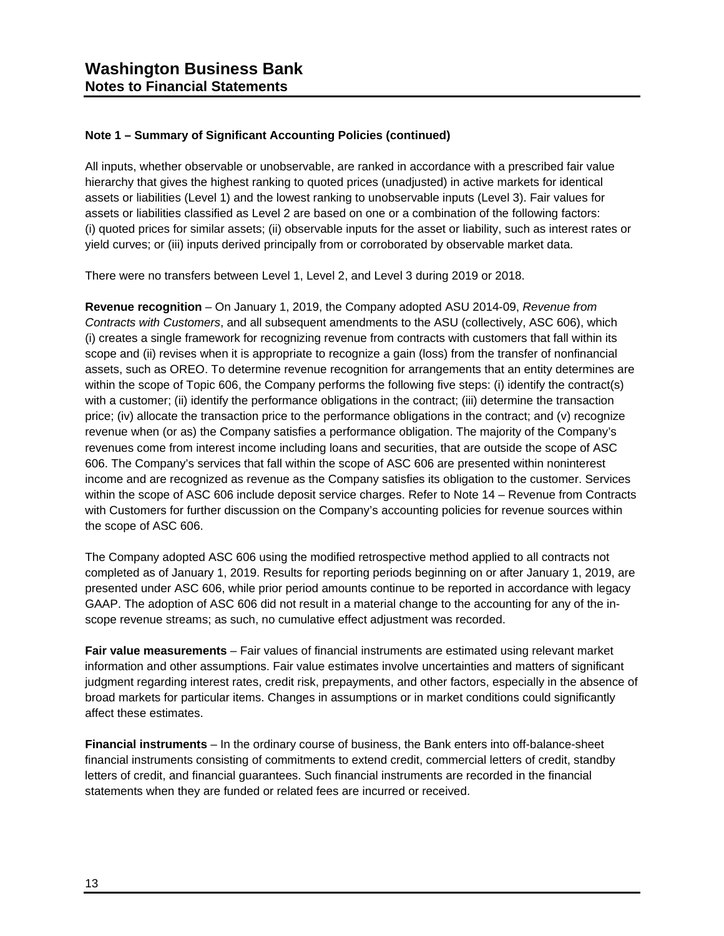All inputs, whether observable or unobservable, are ranked in accordance with a prescribed fair value hierarchy that gives the highest ranking to quoted prices (unadjusted) in active markets for identical assets or liabilities (Level 1) and the lowest ranking to unobservable inputs (Level 3). Fair values for assets or liabilities classified as Level 2 are based on one or a combination of the following factors: (i) quoted prices for similar assets; (ii) observable inputs for the asset or liability, such as interest rates or yield curves; or (iii) inputs derived principally from or corroborated by observable market data.

There were no transfers between Level 1, Level 2, and Level 3 during [2019](#page-0-1) or [2018.](#page-0-1)

**Revenue recognition** – On January 1, 2019, the Company adopted ASU 2014-09, *Revenue from Contracts with Customers*, and all subsequent amendments to the ASU (collectively, ASC 606), which (i) creates a single framework for recognizing revenue from contracts with customers that fall within its scope and (ii) revises when it is appropriate to recognize a gain (loss) from the transfer of nonfinancial assets, such as OREO. To determine revenue recognition for arrangements that an entity determines are within the scope of Topic 606, the Company performs the following five steps: (i) identify the contract(s) with a customer; (ii) identify the performance obligations in the contract; (iii) determine the transaction price; (iv) allocate the transaction price to the performance obligations in the contract; and (v) recognize revenue when (or as) the Company satisfies a performance obligation. The majority of the Company's revenues come from interest income including loans and securities, that are outside the scope of ASC 606. The Company's services that fall within the scope of ASC 606 are presented within noninterest income and are recognized as revenue as the Company satisfies its obligation to the customer. Services within the scope of ASC 606 include deposit service charges. Refer to Note 14 – Revenue from Contracts with Customers for further discussion on the Company's accounting policies for revenue sources within the scope of ASC 606.

The Company adopted ASC 606 using the modified retrospective method applied to all contracts not completed as of January 1, 2019. Results for reporting periods beginning on or after January 1, 2019, are presented under ASC 606, while prior period amounts continue to be reported in accordance with legacy GAAP. The adoption of ASC 606 did not result in a material change to the accounting for any of the inscope revenue streams; as such, no cumulative effect adjustment was recorded.

**Fair value measurements** – Fair values of financial instruments are estimated using relevant market information and other assumptions. Fair value estimates involve uncertainties and matters of significant judgment regarding interest rates, credit risk, prepayments, and other factors, especially in the absence of broad markets for particular items. Changes in assumptions or in market conditions could significantly affect these estimates.

**Financial instruments** – In the ordinary course of business, the [Bank](#page-0-3) enters into off-balance-sheet financial instruments consisting of commitments to extend credit, commercial letters of credit, standby letters of credit, and financial guarantees. Such financial instruments are recorded in the financial statements when they are funded or related fees are incurred or received.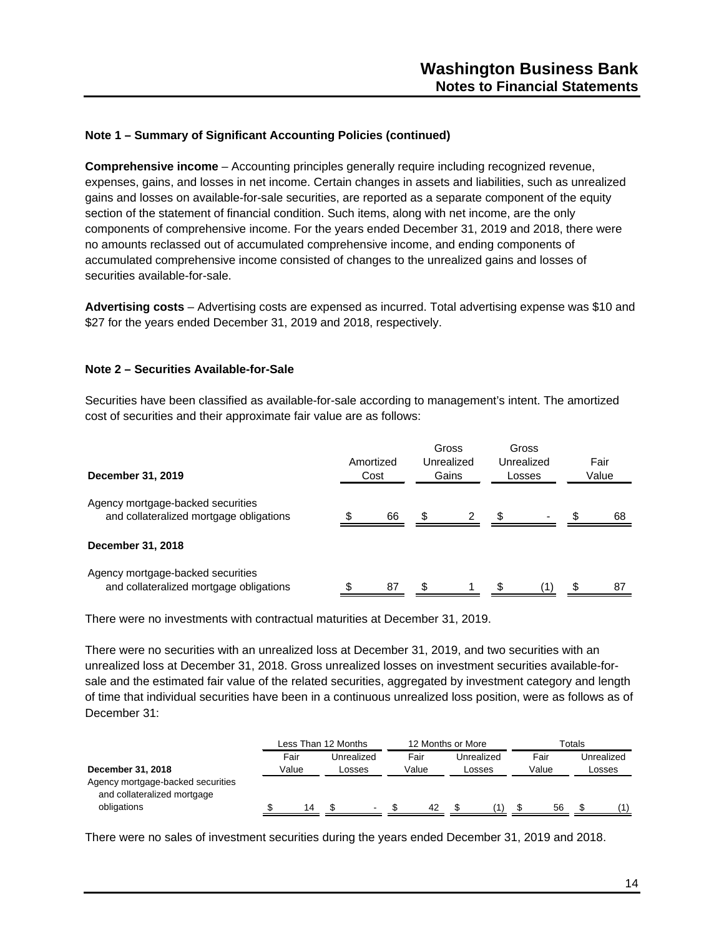**Comprehensive income** – Accounting principles generally require including recognized revenue, expenses, gains, and losses in net income. Certain changes in assets and liabilities, such as unrealized gains and losses on available-for-sale securities, are reported as a separate component of the equity section of the statement of financial condition. Such items, along with net income, are the only components of comprehensive income. For the years ended December [31, 2019 and 2018,](#page-0-1) there were no amounts reclassed out of accumulated comprehensive income, and ending components of accumulated comprehensive income consisted of changes to the unrealized gains and losses of securities available-for-sale.

**Advertising costs** – Advertising costs are expensed as incurred. Total advertising expense was \$10 and \$27 for the years ended December [31, 2019 and 2018,](#page-0-1) respectively.

#### **Note 2 – Securities Available-for-Sale**

Securities have been classified as available-for-sale according to management's intent. The amortized cost of securities and their approximate fair value are as follows:

| December 31, 2019                                                            |  | Amortized<br>Cost |    | Gross<br>Unrealized<br>Gains |    | Gross<br>Unrealized<br>Losses | Fair<br>Value |    |
|------------------------------------------------------------------------------|--|-------------------|----|------------------------------|----|-------------------------------|---------------|----|
| Agency mortgage-backed securities<br>and collateralized mortgage obligations |  | 66                | £. | 2                            | ß. |                               |               | 68 |
| December 31, 2018                                                            |  |                   |    |                              |    |                               |               |    |
| Agency mortgage-backed securities<br>and collateralized mortgage obligations |  | 87                | ß. |                              |    |                               |               | 87 |

There were no investments with contractual maturities at [December](#page-0-3) 31, 2019.

There were no securities with an unrealized loss at [December](#page-0-3) 31, 2019, and two securities with an unrealized loss at [December](#page-0-1) 31, [2018.](#page-0-1) Gross unrealized losses on investment securities available-forsale and the estimated fair value of the related securities, aggregated by investment category and length of time that individual securities have been in a continuous unrealized loss position, were as follows as of December 31:

|                                                                                 | Less Than 12 Months |            |        | 12 Months or More |       |  |            |  | Totals |            |        |  |
|---------------------------------------------------------------------------------|---------------------|------------|--------|-------------------|-------|--|------------|--|--------|------------|--------|--|
|                                                                                 | Fair                | Unrealized |        |                   | Fair  |  | Unrealized |  | Fair   | Unrealized |        |  |
| December 31, 2018                                                               | Value               |            | Losses |                   | Value |  | Losses     |  | Value  |            | Losses |  |
| Agency mortgage-backed securities<br>and collateralized mortgage<br>obligations | 14                  |            |        |                   | 42    |  |            |  | 56     |            |        |  |

There were no sales of investment securities during the years ended December [31, 2019 and 2018.](#page-0-1)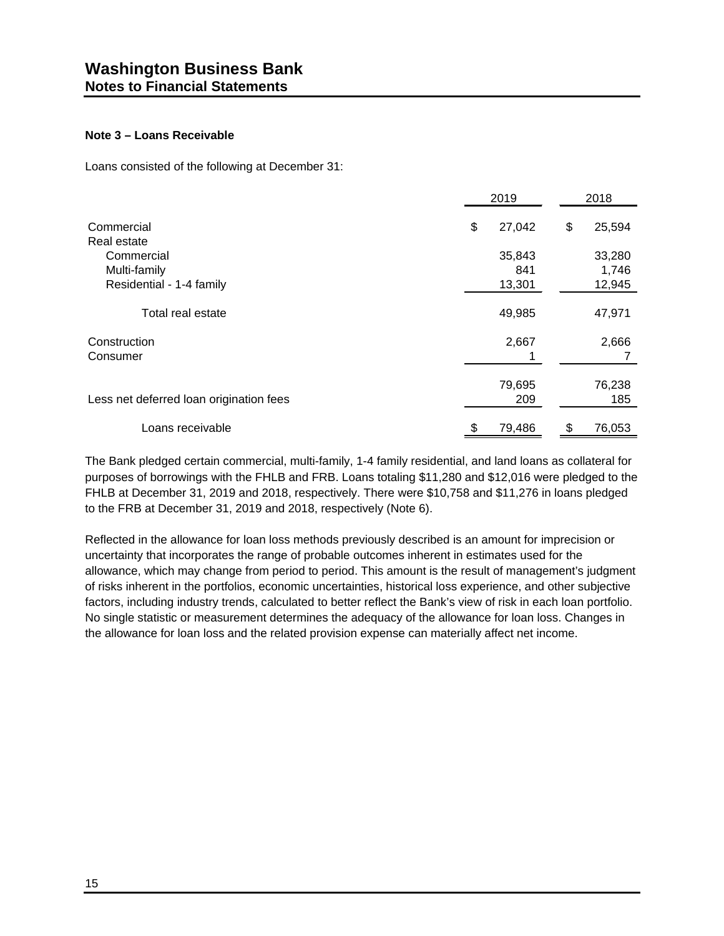#### **Note 3 – Loans Receivable**

Loans consisted of the following at [December](#page-0-1) 31:

|                                         | 2019         | 2018          |
|-----------------------------------------|--------------|---------------|
| Commercial                              | 27,042<br>\$ | 25,594<br>\$  |
| Real estate                             |              |               |
| Commercial                              | 35,843       | 33,280        |
| Multi-family                            | 841          | 1,746         |
| Residential - 1-4 family                | 13,301       | 12,945        |
| Total real estate                       | 49,985       | 47,971        |
| Construction                            | 2,667        | 2,666         |
| Consumer                                |              |               |
|                                         | 79,695       | 76,238        |
| Less net deferred loan origination fees | 209          | 185           |
| Loans receivable                        | 79,486       | 76,053<br>- 5 |

The [Bank](#page-0-3) pledged certain commercial, multi-family, 1-4 family residential, and land loans as collateral for purposes of borrowings with the FHLB and FRB. Loans totaling \$11,280 and \$12,016 were pledged to the FHLB at December [31, 2019 and 2018,](#page-0-1) respectively. There were \$10,758 and \$11,276 in loans pledged to the FRB at December [31, 2019 and 2018,](#page-0-1) respectively (Note 6).

Reflected in the allowance for loan loss methods previously described is an amount for imprecision or uncertainty that incorporates the range of probable outcomes inherent in estimates used for the allowance, which may change from period to period. This amount is the result of management's judgment of risks inherent in the portfolios, economic uncertainties, historical loss experience, and other subjective factors, including industry trends, calculated to better reflect the [Bank's](#page-0-3) view of risk in each loan portfolio. No single statistic or measurement determines the adequacy of the allowance for loan loss. Changes in the allowance for loan loss and the related provision expense can materially affect net income.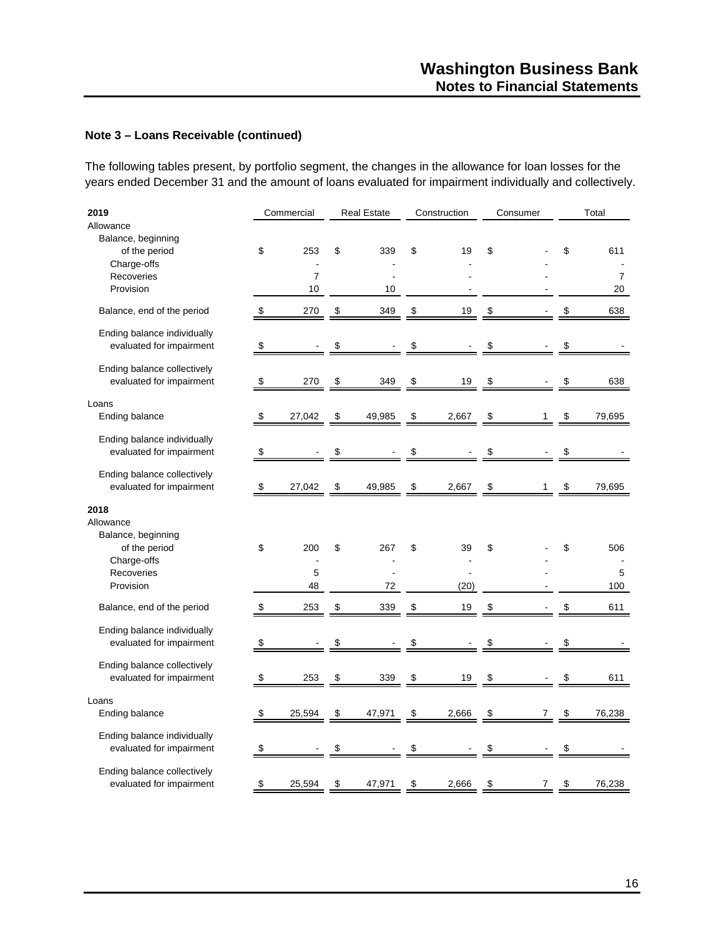The following tables present, by portfolio segment, the changes in the allowance for loan losses for the years ended [December](#page-0-1) 31 and the amount of loans evaluated for impairment individually and collectively.

| 2019                                                            | Commercial     | <b>Real Estate</b> | Construction | Consumer |   | Total |                |  |
|-----------------------------------------------------------------|----------------|--------------------|--------------|----------|---|-------|----------------|--|
| Allowance<br>Balance, beginning<br>of the period<br>Charge-offs | \$<br>253      | \$<br>339          | \$<br>19     | \$       |   | \$    | 611            |  |
| Recoveries                                                      | $\overline{7}$ |                    |              |          |   |       | $\overline{7}$ |  |
| Provision                                                       | 10             | 10                 |              |          |   |       | 20             |  |
| Balance, end of the period                                      | \$<br>270      | \$<br>349          | \$<br>19     | \$       |   | \$    | 638            |  |
| Ending balance individually<br>evaluated for impairment         | \$             | \$                 | \$           | \$       |   | \$    |                |  |
| Ending balance collectively<br>evaluated for impairment         | \$<br>270      | \$<br>349          | \$<br>19     | \$       |   | \$    | 638            |  |
| Loans                                                           |                |                    |              |          |   |       |                |  |
| Ending balance                                                  | \$<br>27,042   | \$<br>49,985       | \$<br>2,667  | \$       | 1 | \$    | 79,695         |  |
| Ending balance individually<br>evaluated for impairment         | \$             | \$                 | \$           | \$       |   | \$    |                |  |
| Ending balance collectively<br>evaluated for impairment         | \$<br>27,042   | \$<br>49,985       | \$<br>2,667  | \$       | 1 | \$    | 79,695         |  |
| 2018<br>Allowance                                               |                |                    |              |          |   |       |                |  |
| Balance, beginning<br>of the period<br>Charge-offs              | \$<br>200      | \$<br>267          | \$<br>39     | \$       |   | \$    | 506            |  |
| Recoveries<br>Provision                                         | 5<br>48        | 72                 | (20)         |          |   |       | 5<br>100       |  |
| Balance, end of the period                                      | \$<br>253      | \$<br>339          | \$<br>19     | \$       |   | \$    | 611            |  |
| Ending balance individually<br>evaluated for impairment         | \$             | \$                 | \$           | \$       |   | \$    |                |  |
| Ending balance collectively<br>evaluated for impairment         | \$<br>253      | \$<br>339          | \$<br>19     | \$       |   | \$    | 611            |  |
| Loans                                                           |                |                    |              |          |   |       |                |  |
| Ending balance                                                  | \$<br>25,594   | \$<br>47,971       | \$<br>2,666  | \$       | 7 | \$    | 76,238         |  |
| Ending balance individually<br>evaluated for impairment         | \$             | \$                 | \$           | \$       |   | \$    |                |  |
| Ending balance collectively<br>evaluated for impairment         | \$<br>25,594   | \$<br>47,971       | \$<br>2,666  | \$       | 7 | \$    | 76,238         |  |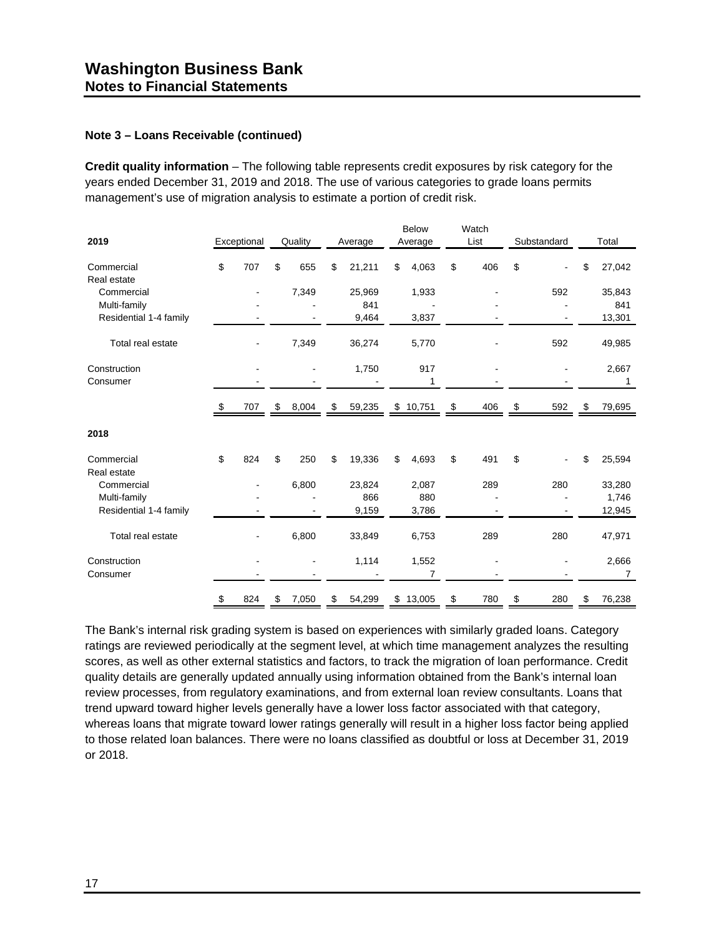**Credit quality information** – The following table represents credit exposures by risk category for the years ended December [31, 2019 and 2018.](#page-0-1) The use of various categories to grade loans permits management's use of migration analysis to estimate a portion of credit risk.

|                           |                |                |              | <b>Below</b> |    | Watch |    |                |    |                |  |
|---------------------------|----------------|----------------|--------------|--------------|----|-------|----|----------------|----|----------------|--|
| 2019                      | Exceptional    | Quality        | Average      | Average      |    | List  |    | Substandard    |    | Total          |  |
| Commercial                | \$<br>707      | \$<br>655      | \$<br>21,211 | \$<br>4,063  | \$ | 406   | \$ |                | \$ | 27,042         |  |
| Real estate<br>Commercial | $\blacksquare$ | 7,349          | 25,969       | 1,933        |    |       |    | 592            |    | 35,843         |  |
| Multi-family              |                |                | 841          |              |    |       |    |                |    | 841            |  |
| Residential 1-4 family    |                |                | 9,464        | 3,837        |    |       |    |                |    | 13,301         |  |
| Total real estate         | L,             | 7,349          | 36,274       | 5,770        |    |       |    | 592            |    | 49,985         |  |
| Construction              |                | $\blacksquare$ | 1,750        | 917          |    |       |    |                |    | 2,667          |  |
| Consumer                  |                |                |              | 1            |    |       |    |                |    | 1              |  |
|                           | \$<br>707      | \$<br>8,004    | \$<br>59,235 | \$10,751     | \$ | 406   | \$ | 592            | \$ | 79,695         |  |
| 2018                      |                |                |              |              |    |       |    |                |    |                |  |
| Commercial                | \$<br>824      | \$<br>250      | \$<br>19,336 | \$<br>4,693  | \$ | 491   | \$ |                | \$ | 25,594         |  |
| Real estate               |                |                |              |              |    |       |    |                |    |                |  |
| Commercial                |                | 6,800          | 23,824       | 2,087        |    | 289   |    | 280            |    | 33,280         |  |
| Multi-family              |                |                | 866          | 880          |    |       |    |                |    | 1,746          |  |
| Residential 1-4 family    |                |                | 9,159        | 3,786        |    |       |    | $\blacksquare$ |    | 12,945         |  |
| Total real estate         |                | 6,800          | 33,849       | 6,753        |    | 289   |    | 280            |    | 47,971         |  |
| Construction              |                |                | 1,114        | 1,552        |    |       |    |                |    | 2,666          |  |
| Consumer                  |                |                |              | 7            |    |       |    |                |    | $\overline{7}$ |  |
|                           | \$<br>824      | \$<br>7,050    | \$<br>54,299 | \$<br>13,005 | \$ | 780   | \$ | 280            | \$ | 76,238         |  |

The [Bank'](#page-0-3)s internal risk grading system is based on experiences with similarly graded loans. Category ratings are reviewed periodically at the segment level, at which time management analyzes the resulting scores, as well as other external statistics and factors, to track the migration of loan performance. Credit quality details are generally updated annually using information obtained from the [Bank'](#page-0-3)s internal loan review processes, from regulatory examinations, and from external loan review consultants. Loans that trend upward toward higher levels generally have a lower loss factor associated with that category, whereas loans that migrate toward lower ratings generally will result in a higher loss factor being applied to those related loan balances. There were no loans classified as doubtful or loss at [December](#page-0-3) 31, 2019 or [2018.](#page-0-1)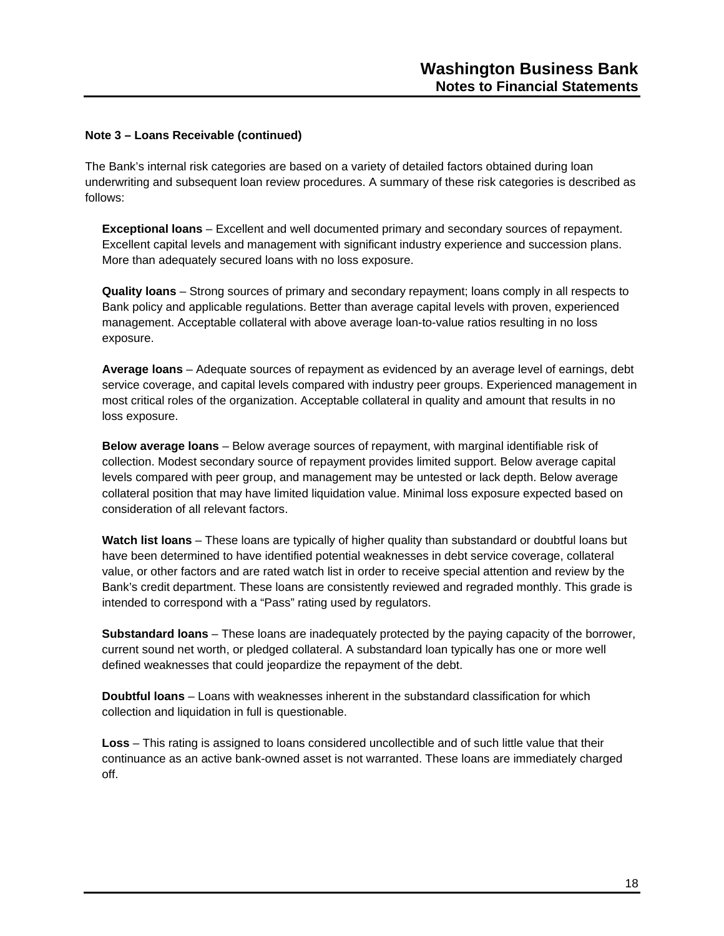The [Bank'](#page-0-3)s internal risk categories are based on a variety of detailed factors obtained during loan underwriting and subsequent loan review procedures. A summary of these risk categories is described as follows:

**Exceptional loans** – Excellent and well documented primary and secondary sources of repayment. Excellent capital levels and management with significant industry experience and succession plans. More than adequately secured loans with no loss exposure.

**Quality loans** – Strong sources of primary and secondary repayment; loans comply in all respects to [Bank](#page-0-3) policy and applicable regulations. Better than average capital levels with proven, experienced management. Acceptable collateral with above average loan-to-value ratios resulting in no loss exposure.

**Average loans** – Adequate sources of repayment as evidenced by an average level of earnings, debt service coverage, and capital levels compared with industry peer groups. Experienced management in most critical roles of the organization. Acceptable collateral in quality and amount that results in no loss exposure.

**Below average loans** – Below average sources of repayment, with marginal identifiable risk of collection. Modest secondary source of repayment provides limited support. Below average capital levels compared with peer group, and management may be untested or lack depth. Below average collateral position that may have limited liquidation value. Minimal loss exposure expected based on consideration of all relevant factors.

**Watch list loans** – These loans are typically of higher quality than substandard or doubtful loans but have been determined to have identified potential weaknesses in debt service coverage, collateral value, or other factors and are rated watch list in order to receive special attention and review by the [Bank'](#page-0-3)s credit department. These loans are consistently reviewed and regraded monthly. This grade is intended to correspond with a "Pass" rating used by regulators.

**Substandard loans** – These loans are inadequately protected by the paying capacity of the borrower, current sound net worth, or pledged collateral. A substandard loan typically has one or more well defined weaknesses that could jeopardize the repayment of the debt.

**Doubtful loans** – Loans with weaknesses inherent in the substandard classification for which collection and liquidation in full is questionable.

**Loss** – This rating is assigned to loans considered uncollectible and of such little value that their continuance as an active bank-owned asset is not warranted. These loans are immediately charged off.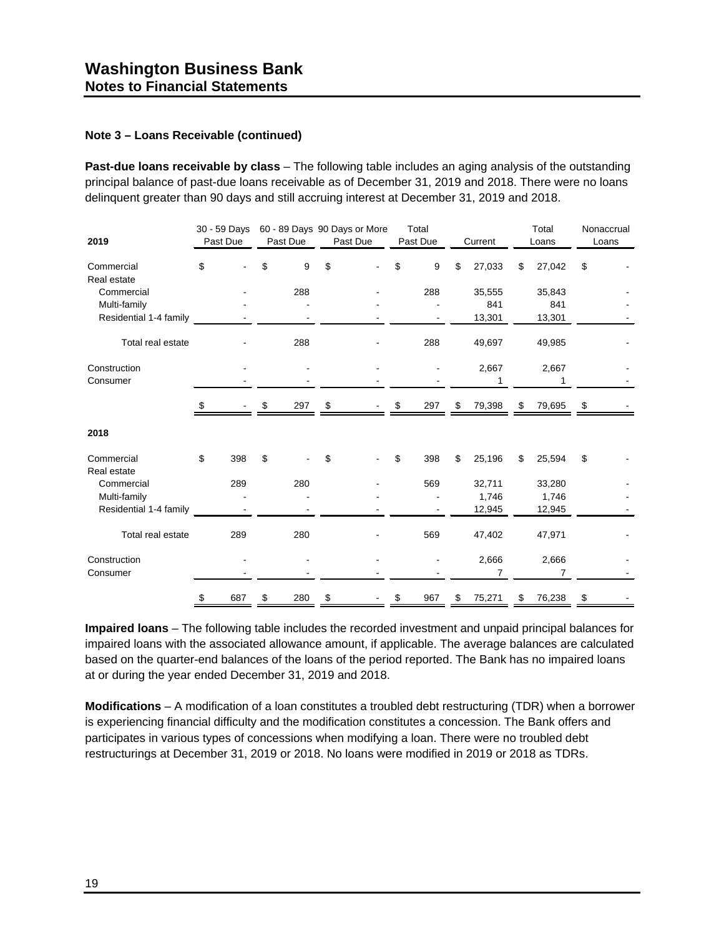**Past-due loans receivable by class** – The following table includes an aging analysis of the outstanding principal balance of past-due loans receivable as of December [31, 2019 and 2018.](#page-0-1) There were no loans delinquent greater than 90 days and still accruing interest at December [31, 2019 and 2018.](#page-0-1)

| 2019                      | 30 - 59 Days<br>Past Due |    | Past Due       |    | 60 - 89 Days 90 Days or More<br>Past Due |     |              | Total<br>Past Due | Current | Total<br>Loans | Nonaccrual<br>Loans |  |
|---------------------------|--------------------------|----|----------------|----|------------------------------------------|-----|--------------|-------------------|---------|----------------|---------------------|--|
| Commercial<br>Real estate | \$                       | \$ | 9              | \$ | \$                                       | 9   | \$<br>27,033 | \$<br>27,042      | \$      |                |                     |  |
| Commercial                |                          |    | 288            |    |                                          | 288 | 35,555       | 35,843            |         |                |                     |  |
| Multi-family              |                          |    |                |    |                                          |     | 841          | 841               |         |                |                     |  |
| Residential 1-4 family    |                          |    |                |    |                                          |     | 13,301       | 13,301            |         |                |                     |  |
| Total real estate         |                          |    | 288            |    |                                          | 288 | 49,697       | 49,985            |         |                |                     |  |
| Construction              |                          |    |                |    |                                          |     | 2,667        | 2,667             |         |                |                     |  |
| Consumer                  |                          |    |                |    |                                          |     | 1            | 1                 |         |                |                     |  |
|                           | \$                       | \$ | 297            | \$ | \$                                       | 297 | \$<br>79,398 | \$<br>79,695      | \$      |                |                     |  |
| 2018                      |                          |    |                |    |                                          |     |              |                   |         |                |                     |  |
| Commercial<br>Real estate | \$<br>398                | \$ |                | \$ | \$                                       | 398 | \$<br>25,196 | \$<br>25,594      | \$      |                |                     |  |
| Commercial                | 289                      |    | 280            |    |                                          | 569 | 32,711       | 33,280            |         |                |                     |  |
| Multi-family              |                          |    |                |    |                                          |     | 1,746        | 1,746             |         |                |                     |  |
| Residential 1-4 family    |                          |    | $\blacksquare$ |    |                                          |     | 12,945       | 12,945            |         |                |                     |  |
| Total real estate         | 289                      |    | 280            |    |                                          | 569 | 47,402       | 47,971            |         |                |                     |  |
| Construction              |                          |    |                |    |                                          |     | 2,666        | 2,666             |         |                |                     |  |
| Consumer                  |                          |    |                |    |                                          |     | 7            | $\overline{7}$    |         |                |                     |  |
|                           | \$<br>687                | \$ | 280            | \$ | \$                                       | 967 | \$<br>75,271 | \$<br>76,238      | \$      |                |                     |  |

**Impaired loans** – The following table includes the recorded investment and unpaid principal balances for impaired loans with the associated allowance amount, if applicable. The average balances are calculated based on the quarter-end balances of the loans of the period reported. The Bank has no impaired loans at or during the year ended December 31, 2019 and 2018.

**Modifications** – A modification of a loan constitutes a troubled debt restructuring (TDR) when a borrower is experiencing financial difficulty and the modification constitutes a concession. The [Bank](#page-0-3) offers and participates in various types of concessions when modifying a loan. There were no troubled debt restructurings at [December](#page-0-3) 31, 2019 or [2018.](#page-0-1) No loans were modified in [2019](#page-0-1) or [2018](#page-0-1) as TDRs.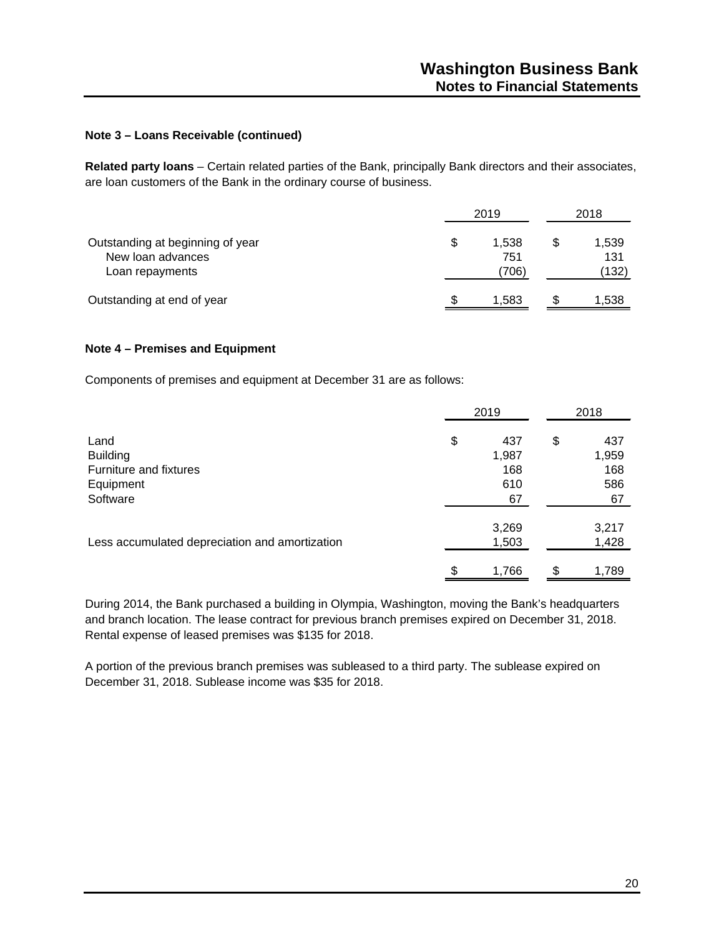**Related party loans** – Certain related parties of the [Bank,](#page-0-3) principally [Bank](#page-0-3) directors and their associates, are loan customers of the [Bank](#page-0-3) in the ordinary course of business.

|                                                                          | 2019 |                       | 2018 |                       |
|--------------------------------------------------------------------------|------|-----------------------|------|-----------------------|
| Outstanding at beginning of year<br>New loan advances<br>Loan repayments | \$   | 1.538<br>751<br>(706) |      | 1,539<br>131<br>(132) |
| Outstanding at end of year                                               | S    | 1,583                 | S    | 1,538                 |

#### **Note 4 – Premises and Equipment**

Components of premises and equipment at [December](#page-0-1) 31 are as follows:

|                                                | 2019 |       | 2018 |       |
|------------------------------------------------|------|-------|------|-------|
| Land                                           | \$   | 437   | \$   | 437   |
| <b>Building</b>                                |      | 1,987 |      | 1,959 |
| Furniture and fixtures                         |      | 168   |      | 168   |
| Equipment                                      |      | 610   |      | 586   |
| Software                                       |      | 67    |      | 67    |
|                                                |      | 3,269 |      | 3,217 |
| Less accumulated depreciation and amortization |      | 1,503 |      | 1,428 |
|                                                | \$   | 1,766 | \$   | 1,789 |

During 2014, the [Bank](#page-0-3) purchased a building in Olympia, Washington, moving the [Bank'](#page-0-3)s headquarters and branch location. The lease contract for previous branch premises expired on December 31, 2018. Rental expense of leased premises was \$135 for [2018.](#page-0-1)

A portion of the previous branch premises was subleased to a third party. The sublease expired on December 31, 2018. Sublease income was \$35 for [2018.](#page-0-1)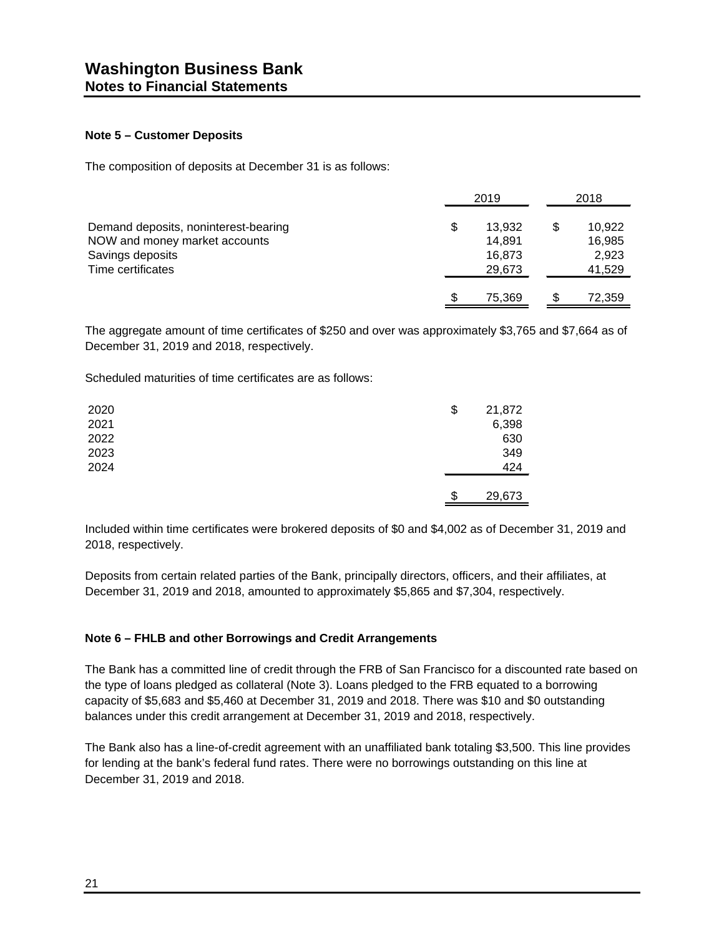#### **Note 5 – Customer Deposits**

The composition of deposits at [December](#page-0-1) 31 is as follows:

|                                                                                                                | 2019                                       |   | 2018                                |
|----------------------------------------------------------------------------------------------------------------|--------------------------------------------|---|-------------------------------------|
| Demand deposits, noninterest-bearing<br>NOW and money market accounts<br>Savings deposits<br>Time certificates | \$<br>13,932<br>14,891<br>16,873<br>29.673 | S | 10,922<br>16,985<br>2,923<br>41,529 |
|                                                                                                                | \$<br>75,369                               |   | 72,359                              |

The aggregate amount of time certificates of \$250 and over was approximately \$3,765 and \$7,664 as of December [31, 2019 and 2018,](#page-0-1) respectively.

Scheduled maturities of time certificates are as follows:

| 2020<br>2021<br>2022<br>2023<br>2024 | \$<br>21,872<br>6,398<br>630<br>349<br>424 |
|--------------------------------------|--------------------------------------------|
|                                      | \$<br>29,673                               |

Included within time certificates were brokered deposits of \$0 and \$4,002 as of December [31, 2019 and](#page-0-1)  [2018,](#page-0-1) respectively.

Deposits from certain related parties of the [Bank,](#page-0-3) principally directors, officers, and their affiliates, at December [31, 2019 and 2018,](#page-0-1) amounted to approximately \$5,865 and \$7,304, respectively.

#### **Note 6 – FHLB and other Borrowings and Credit Arrangements**

The [Bank](#page-0-3) has a committed line of credit through the FRB of San Francisco for a discounted rate based on the type of loans pledged as collateral (Note 3). Loans pledged to the FRB equated to a borrowing capacity of \$5,683 and \$5,460 at December [31, 2019 and 2018.](#page-0-1) There was \$10 and \$0 outstanding balances under this credit arrangement at December [31, 2019 and](#page-0-1) 2018, respectively.

The [Bank](#page-0-3) also has a line-of-credit agreement with an unaffiliated bank totaling \$3,500. This line provides for lending at the bank's federal fund rates. There were no borrowings outstanding on this line at December [31, 2019 and 2018.](#page-0-1)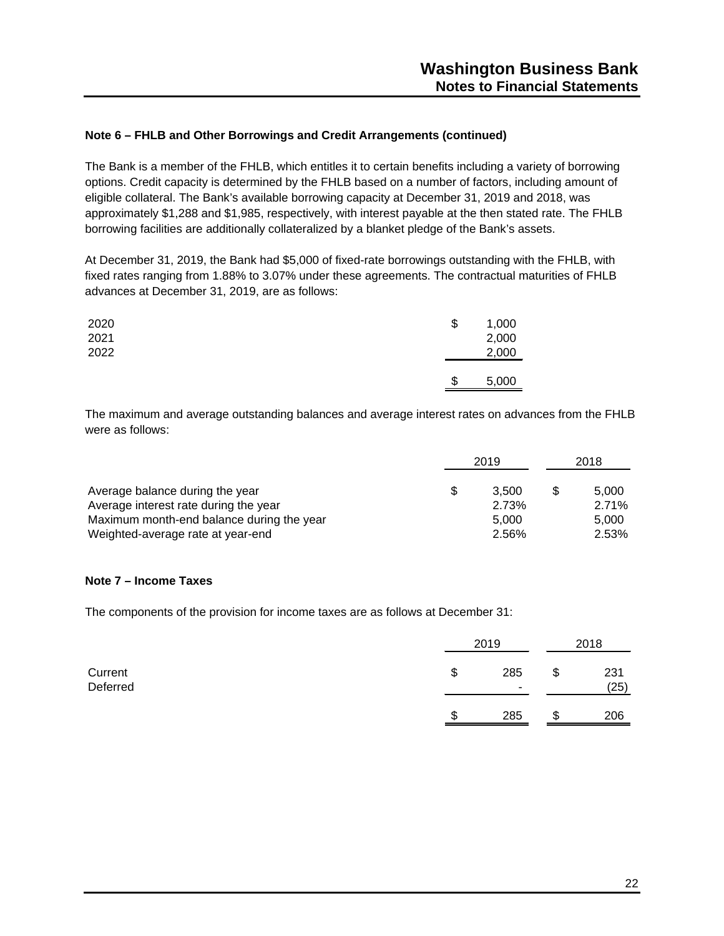#### **Note 6 – FHLB and Other Borrowings and Credit Arrangements (continued)**

The [Bank](#page-0-3) is a member of the FHLB, which entitles it to certain benefits including a variety of borrowing options. Credit capacity is determined by the FHLB based on a number of factors, including amount of eligible collateral. The [Bank's](#page-0-3) available borrowing capacity at December [31, 2019 and 2018,](#page-0-1) was approximately \$1,288 and \$1,985, respectively, with interest payable at the then stated rate. The FHLB borrowing facilities are additionally collateralized by a blanket pledge of the [Bank's](#page-0-3) assets.

At [December](#page-0-3) 31, 2019, the [Bank](#page-0-3) had \$5,000 of fixed-rate borrowings outstanding with the FHLB, with fixed rates ranging from 1.88% to 3.07% under these agreements. The contractual maturities of FHLB advances at [December](#page-0-3) 31, 2019, are as follows:

| 2020<br>2021<br>2022 | \$<br>1,000<br>2,000<br>2,000 |
|----------------------|-------------------------------|
|                      | \$<br>5,000                   |

The maximum and average outstanding balances and average interest rates on advances from the FHLB were as follows:

|                                           | 2019 |       | 2018 |       |
|-------------------------------------------|------|-------|------|-------|
| Average balance during the year           | -S   | 3.500 |      | 5.000 |
| Average interest rate during the year     |      | 2.73% |      | 2.71% |
| Maximum month-end balance during the year |      | 5.000 |      | 5,000 |
| Weighted-average rate at year-end         |      | 2.56% |      | 2.53% |

#### **Note 7 – Income Taxes**

The components of the provision for income taxes are as follows at [December](#page-0-1) 31:

|                     |    | 2019 |    | 2018        |
|---------------------|----|------|----|-------------|
| Current<br>Deferred | \$ | 285  | \$ | 231<br>(25) |
|                     | S  | 285  | S  | 206         |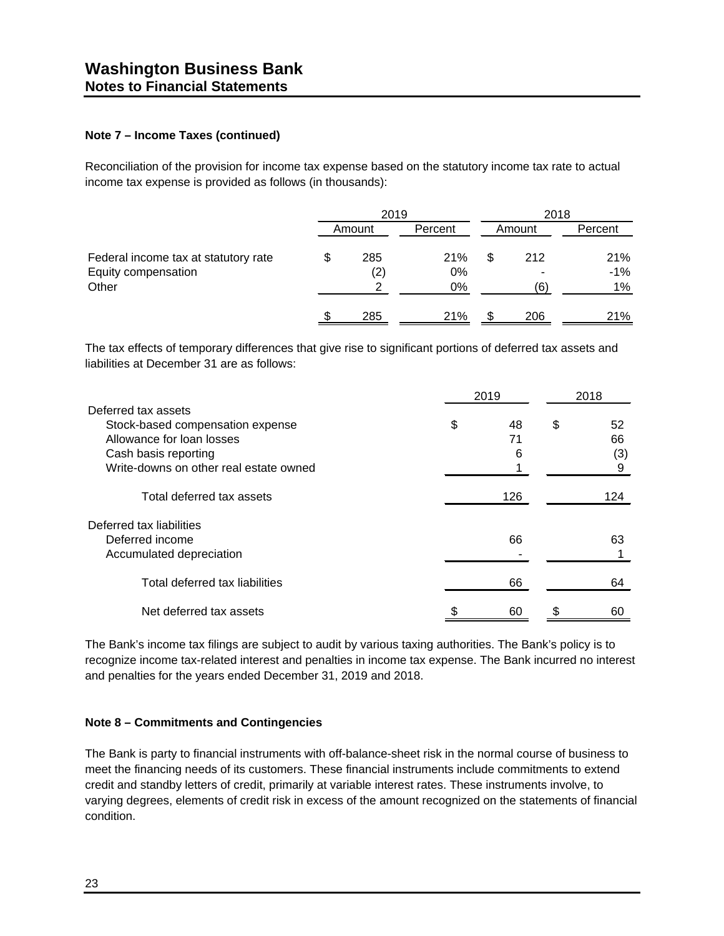#### **Note 7 – Income Taxes (continued)**

Reconciliation of the provision for income tax expense based on the statutory income tax rate to actual income tax expense is provided as follows (in thousands):

|                                                                      | 2019       |                    |  | 2018            |                     |
|----------------------------------------------------------------------|------------|--------------------|--|-----------------|---------------------|
|                                                                      | Amount     | Percent            |  | Amount          | Percent             |
| Federal income tax at statutory rate<br>Equity compensation<br>Other | 285<br>(2) | 21%<br>0%<br>$0\%$ |  | 212<br>۰<br>(6) | 21%<br>-1%<br>$1\%$ |
|                                                                      | 285        | 21%                |  | 206             | 21%                 |

The tax effects of temporary differences that give rise to significant portions of deferred tax assets and liabilities at [December](#page-0-1) 31 are as follows:

|                                        | 2019 |     | 2018 |     |
|----------------------------------------|------|-----|------|-----|
| Deferred tax assets                    |      |     |      |     |
| Stock-based compensation expense       | \$   | 48  | \$   | 52  |
| Allowance for loan losses              |      | 71  |      | 66  |
| Cash basis reporting                   |      | 6   |      | (3) |
| Write-downs on other real estate owned |      |     |      | 9   |
| Total deferred tax assets              |      | 126 |      | 124 |
| Deferred tax liabilities               |      |     |      |     |
| Deferred income                        |      | 66  |      | 63  |
| Accumulated depreciation               |      |     |      |     |
| Total deferred tax liabilities         |      | 66  |      | 64  |
| Net deferred tax assets                |      | 60  |      | 60  |
|                                        |      |     |      |     |

The [Bank'](#page-0-3)s income tax filings are subject to audit by various taxing authorities. The [Bank'](#page-0-3)s policy is to recognize income tax-related interest and penalties in income tax expense. The [Bank](#page-0-3) incurred no interest and penalties for the years ended December [31, 2019 and 2018.](#page-0-1)

#### **Note 8 – Commitments and Contingencies**

The [Bank](#page-0-3) is party to financial instruments with off-balance-sheet risk in the normal course of business to meet the financing needs of its customers. These financial instruments include commitments to extend credit and standby letters of credit, primarily at variable interest rates. These instruments involve, to varying degrees, elements of credit risk in excess of the amount recognized on the statements of financial condition.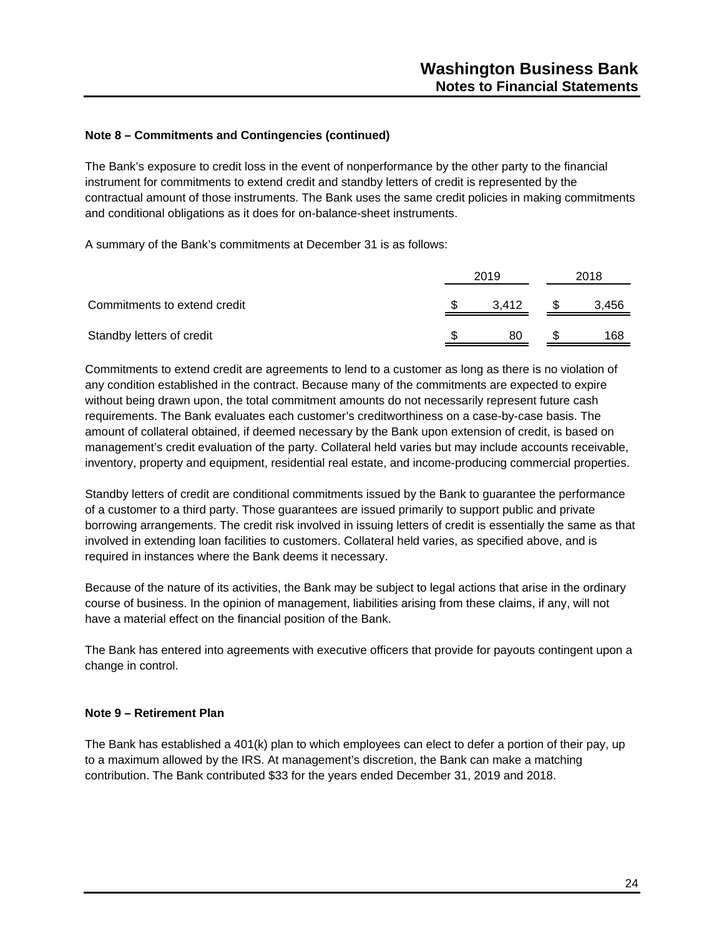#### **Note 8 – Commitments and Contingencies (continued)**

The [Bank'](#page-0-3)s exposure to credit loss in the event of nonperformance by the other party to the financial instrument for commitments to extend credit and standby letters of credit is represented by the contractual amount of those instruments. The [Bank](#page-0-3) uses the same credit policies in making commitments and conditional obligations as it does for on-balance-sheet instruments.

A summary of the [Bank'](#page-0-3)s commitments at [December](#page-0-1) 31 is as follows:

|                              | 2019 |       | 2018  |  |
|------------------------------|------|-------|-------|--|
| Commitments to extend credit |      | 3,412 | 3,456 |  |
| Standby letters of credit    |      | 80    | 168   |  |

Commitments to extend credit are agreements to lend to a customer as long as there is no violation of any condition established in the contract. Because many of the commitments are expected to expire without being drawn upon, the total commitment amounts do not necessarily represent future cash requirements. The [Bank](#page-0-3) evaluates each customer's creditworthiness on a case-by-case basis. The amount of collateral obtained, if deemed necessary by the [Bank](#page-0-3) upon extension of credit, is based on management's credit evaluation of the party. Collateral held varies but may include accounts receivable, inventory, property and equipment, residential real estate, and income-producing commercial properties.

Standby letters of credit are conditional commitments issued by the [Bank](#page-0-3) to guarantee the performance of a customer to a third party. Those guarantees are issued primarily to support public and private borrowing arrangements. The credit risk involved in issuing letters of credit is essentially the same as that involved in extending loan facilities to customers. Collateral held varies, as specified above, and is required in instances where the [Bank](#page-0-3) deems it necessary.

Because of the nature of its activities, the [Bank](#page-0-3) may be subject to legal actions that arise in the ordinary course of business. In the opinion of management, liabilities arising from these claims, if any, will not have a material effect on the financial position of the [Bank.](#page-0-3)

The [Bank](#page-0-3) has entered into agreements with executive officers that provide for payouts contingent upon a change in control.

#### **Note 9 – Retirement Plan**

The [Bank](#page-0-3) has established a 401(k) plan to which employees can elect to defer a portion of their pay, up to a maximum allowed by the IRS. At management's discretion, the [Bank](#page-0-3) can make a matching contribution. The [Bank](#page-0-3) contributed \$33 for the years ended December 31, [2019 and 2018.](#page-0-1)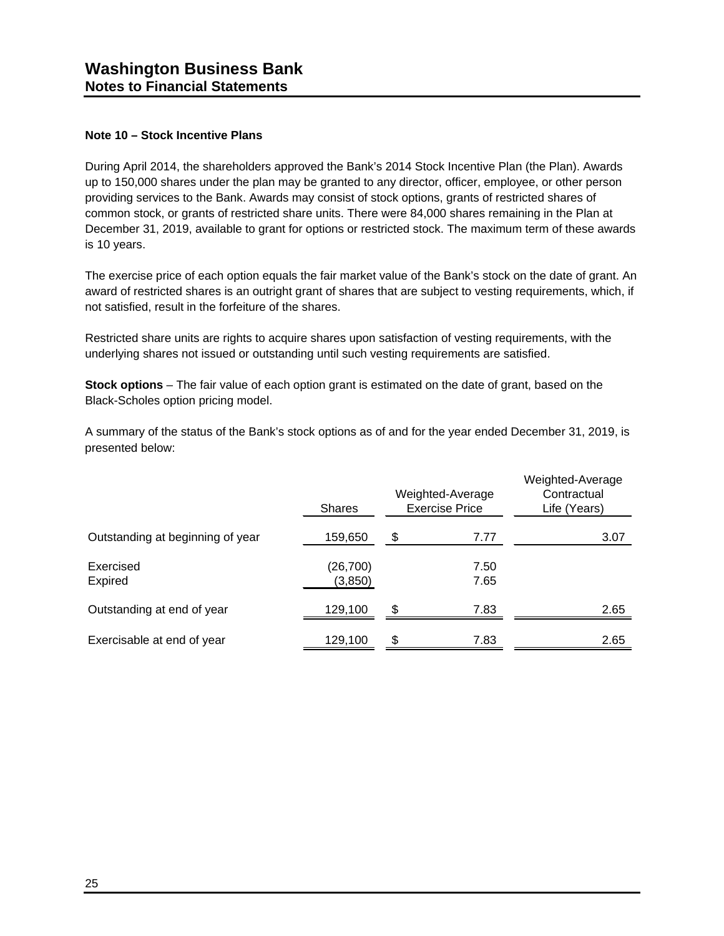#### **Note 10 – Stock Incentive Plans**

During April 2014, the shareholders approved the [Bank'](#page-0-3)s 2014 Stock Incentive Plan (the Plan). Awards up to 150,000 shares under the plan may be granted to any director, officer, employee, or other person providing services to the [Bank.](#page-0-3) Awards may consist of stock options, grants of restricted shares of common stock, or grants of restricted share units. There were 84,000 shares remaining in the Plan at [December](#page-0-3) 31, 2019, available to grant for options or restricted stock. The maximum term of these awards is 10 years.

The exercise price of each option equals the fair market value of the [Bank's](#page-0-3) stock on the date of grant. An award of restricted shares is an outright grant of shares that are subject to vesting requirements, which, if not satisfied, result in the forfeiture of the shares.

Restricted share units are rights to acquire shares upon satisfaction of vesting requirements, with the underlying shares not issued or outstanding until such vesting requirements are satisfied.

**Stock options** – The fair value of each option grant is estimated on the date of grant, based on the Black-Scholes option pricing model.

A summary of the status of the [Bank'](#page-0-3)s stock options as of and for the year ended [December](#page-0-3) 31, 2019, is presented below:

|                                  | <b>Shares</b>        | Weighted-Average<br><b>Exercise Price</b> |              | Weighted-Average<br>Contractual<br>Life (Years) |
|----------------------------------|----------------------|-------------------------------------------|--------------|-------------------------------------------------|
| Outstanding at beginning of year | 159,650              | \$                                        | 7.77         | 3.07                                            |
| Exercised<br><b>Expired</b>      | (26, 700)<br>(3,850) |                                           | 7.50<br>7.65 |                                                 |
| Outstanding at end of year       | 129,100              | \$                                        | 7.83         | 2.65                                            |
| Exercisable at end of year       | 129,100              | \$                                        | 7.83         | 2.65                                            |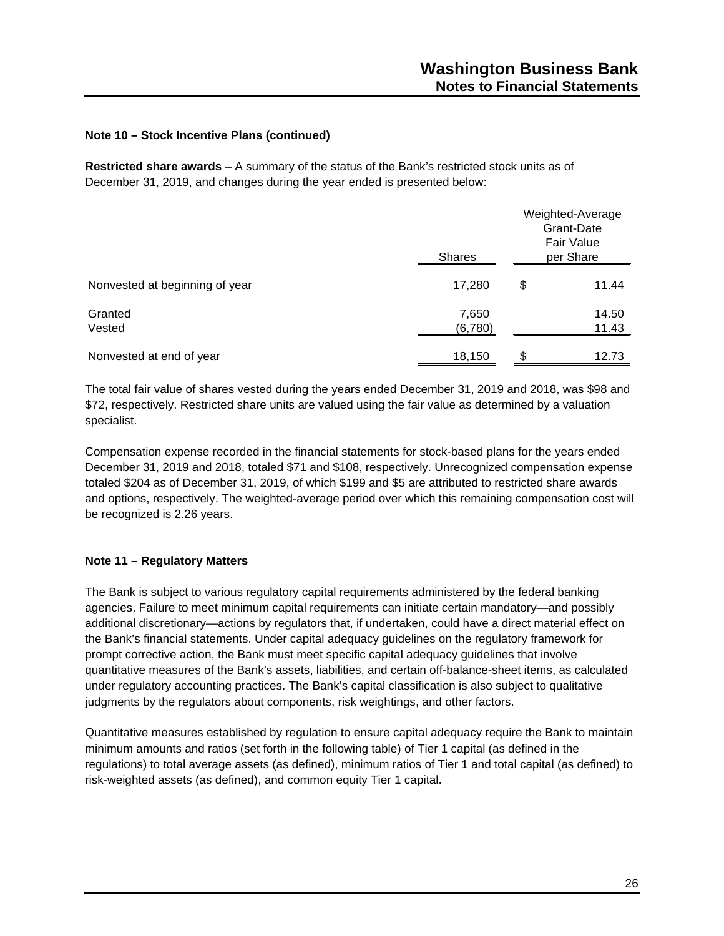#### **Note 10 – Stock Incentive Plans (continued)**

**Restricted share awards** – A summary of the status of the [Bank'](#page-0-3)s restricted stock units as of [December](#page-0-3) 31, 2019, and changes during the year ended is presented below:

|                                | <b>Shares</b>    | Weighted-Average<br>Grant-Date<br>Fair Value<br>per Share |
|--------------------------------|------------------|-----------------------------------------------------------|
| Nonvested at beginning of year | 17,280           | \$<br>11.44                                               |
| Granted<br>Vested              | 7,650<br>(6,780) | 14.50<br>11.43                                            |
| Nonvested at end of year       | 18,150           | \$<br>12.73                                               |

The total fair value of shares vested during the years ended December [31, 2019 and 2018,](#page-0-1) was \$98 and \$72, respectively. Restricted share units are valued using the fair value as determined by a valuation specialist.

Compensation expense recorded in the financial statements for stock-based plans for the years ended December [31, 2019 and 2018,](#page-0-1) totaled \$71 and \$108, respectively. Unrecognized compensation expense totaled \$204 as of [December](#page-0-3) 31, 2019, of which \$199 and \$5 are attributed to restricted share awards and options, respectively. The weighted-average period over which this remaining compensation cost will be recognized is 2.26 years.

#### **Note 11 – Regulatory Matters**

The [Bank](#page-0-3) is subject to various regulatory capital requirements administered by the federal banking agencies. Failure to meet minimum capital requirements can initiate certain mandatory—and possibly additional discretionary—actions by regulators that, if undertaken, could have a direct material effect on the [Bank's](#page-0-3) financial statements. Under capital adequacy guidelines on the regulatory framework for prompt corrective action, the [Bank](#page-0-3) must meet specific capital adequacy guidelines that involve quantitative measures of the [Bank'](#page-0-3)s assets, liabilities, and certain off-balance-sheet items, as calculated under regulatory accounting practices. The [Bank'](#page-0-3)s capital classification is also subject to qualitative judgments by the regulators about components, risk weightings, and other factors.

Quantitative measures established by regulation to ensure capital adequacy require the [Bank](#page-0-3) to maintain minimum amounts and ratios (set forth in the following table) of Tier 1 capital (as defined in the regulations) to total average assets (as defined), minimum ratios of Tier 1 and total capital (as defined) to risk-weighted assets (as defined), and common equity Tier 1 capital.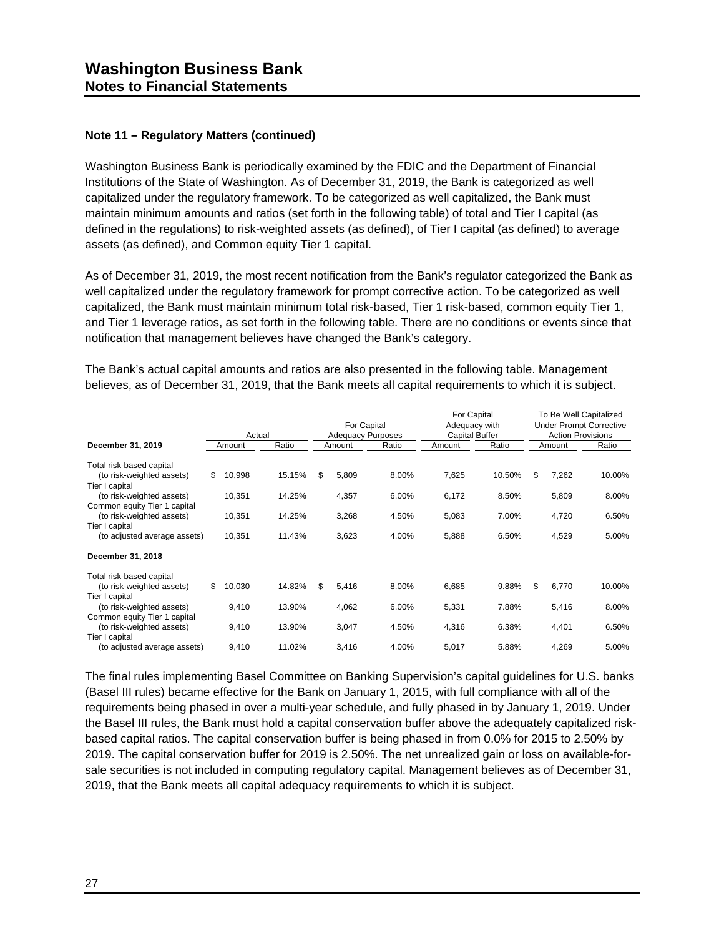#### **Note 11 – Regulatory Matters (continued)**

[Washington Business Bank](#page-0-0) is periodically examined by the FDIC and the Department of Financial Institutions of the State of Washington. As of [December](#page-0-3) 31, 2019, the [Bank](#page-0-3) is categorized as well capitalized under the regulatory framework. To be categorized as well capitalized, the [Bank](#page-0-3) must maintain minimum amounts and ratios (set forth in the following table) of total and Tier I capital (as defined in the regulations) to risk-weighted assets (as defined), of Tier I capital (as defined) to average assets (as defined), and Common equity Tier 1 capital.

As of [December](#page-0-3) 31, 2019, the most recent notification from the [Bank's](#page-0-3) regulator categorized the [Bank](#page-0-3) as well capitalized under the regulatory framework for prompt corrective action. To be categorized as well capitalized, the [Bank](#page-0-3) must maintain minimum total risk-based, Tier 1 risk-based, common equity Tier 1, and Tier 1 leverage ratios, as set forth in the following table. There are no conditions or events since that notification that management believes have changed the [Bank's](#page-0-3) category.

The [Bank's](#page-0-3) actual capital amounts and ratios are also presented in the following table. Management believes, as of [December](#page-0-3) 31, 2019, that the [Bank](#page-0-3) meets all capital requirements to which it is subject.

| Actual |        |                                      | For Capital<br><b>Adequacy Purposes</b> |       |                                   | For Capital<br>Adequacy with<br><b>Capital Buffer</b> |                         |                         | To Be Well Capitalized<br><b>Under Prompt Corrective</b><br><b>Action Provisions</b> |                                   |  |
|--------|--------|--------------------------------------|-----------------------------------------|-------|-----------------------------------|-------------------------------------------------------|-------------------------|-------------------------|--------------------------------------------------------------------------------------|-----------------------------------|--|
|        |        | Ratio                                |                                         |       | Ratio                             | Amount                                                | Ratio                   |                         |                                                                                      | Ratio                             |  |
|        |        |                                      |                                         |       |                                   |                                                       |                         |                         |                                                                                      |                                   |  |
| \$     | 10,998 | 15.15%                               | \$                                      | 5,809 | 8.00%                             | 7,625                                                 | 10.50%                  | \$                      | 7,262                                                                                | 10.00%                            |  |
|        |        |                                      |                                         |       |                                   |                                                       |                         |                         |                                                                                      |                                   |  |
|        |        |                                      |                                         |       |                                   |                                                       |                         |                         |                                                                                      | 8.00%                             |  |
|        |        |                                      |                                         |       |                                   |                                                       |                         |                         |                                                                                      |                                   |  |
|        |        |                                      |                                         |       |                                   |                                                       |                         |                         |                                                                                      | 6.50%                             |  |
|        |        |                                      |                                         |       |                                   |                                                       |                         |                         |                                                                                      |                                   |  |
|        |        |                                      |                                         |       |                                   |                                                       |                         |                         |                                                                                      | 5.00%                             |  |
|        |        |                                      |                                         |       |                                   |                                                       |                         |                         |                                                                                      |                                   |  |
|        |        |                                      |                                         |       |                                   |                                                       |                         |                         |                                                                                      |                                   |  |
| \$     | 10,030 | 14.82%                               | \$                                      | 5,416 | 8.00%                             | 6,685                                                 | 9.88%                   | \$                      | 6,770                                                                                | 10.00%                            |  |
|        |        |                                      |                                         |       |                                   |                                                       |                         |                         |                                                                                      |                                   |  |
|        | 9,410  | 13.90%                               |                                         | 4,062 | 6.00%                             | 5,331                                                 | 7.88%                   |                         | 5,416                                                                                | 8.00%                             |  |
|        |        |                                      |                                         |       |                                   |                                                       |                         |                         |                                                                                      |                                   |  |
|        | 9,410  | 13.90%                               |                                         | 3,047 | 4.50%                             | 4,316                                                 | 6.38%                   |                         | 4,401                                                                                | 6.50%                             |  |
|        |        |                                      |                                         |       |                                   |                                                       |                         |                         |                                                                                      |                                   |  |
|        | 9,410  | 11.02%                               |                                         | 3,416 |                                   | 5,017                                                 | 5.88%                   |                         | 4,269                                                                                | 5.00%                             |  |
|        |        | Amount<br>10,351<br>10,351<br>10,351 | 14.25%<br>14.25%<br>11.43%              |       | Amount<br>4,357<br>3,268<br>3,623 | 6.00%<br>4.50%<br>4.00%<br>4.00%                      | 6,172<br>5,083<br>5,888 | 8.50%<br>7.00%<br>6.50% |                                                                                      | Amount<br>5,809<br>4,720<br>4,529 |  |

The final rules implementing Basel Committee on Banking Supervision's capital guidelines for U.S. banks (Basel III rules) became effective for the [Bank](#page-0-3) on January 1, 2015, with full compliance with all of the requirements being phased in over a multi-year schedule, and fully phased in by January 1, 2019. Under the Basel III rules, the [Bank](#page-0-3) must hold a capital conservation buffer above the adequately capitalized riskbased capital ratios. The capital conservation buffer is being phased in from 0.0% for 2015 to 2.50% by 2019. The capital conservation buffer for [2019](#page-0-1) is 2.50%. The net unrealized gain or loss on available-forsale securities is not included in computing regulatory capital. Management believes as of [December](#page-0-3) 31, [2019,](#page-0-3) that the [Bank](#page-0-3) meets all capital adequacy requirements to which it is subject.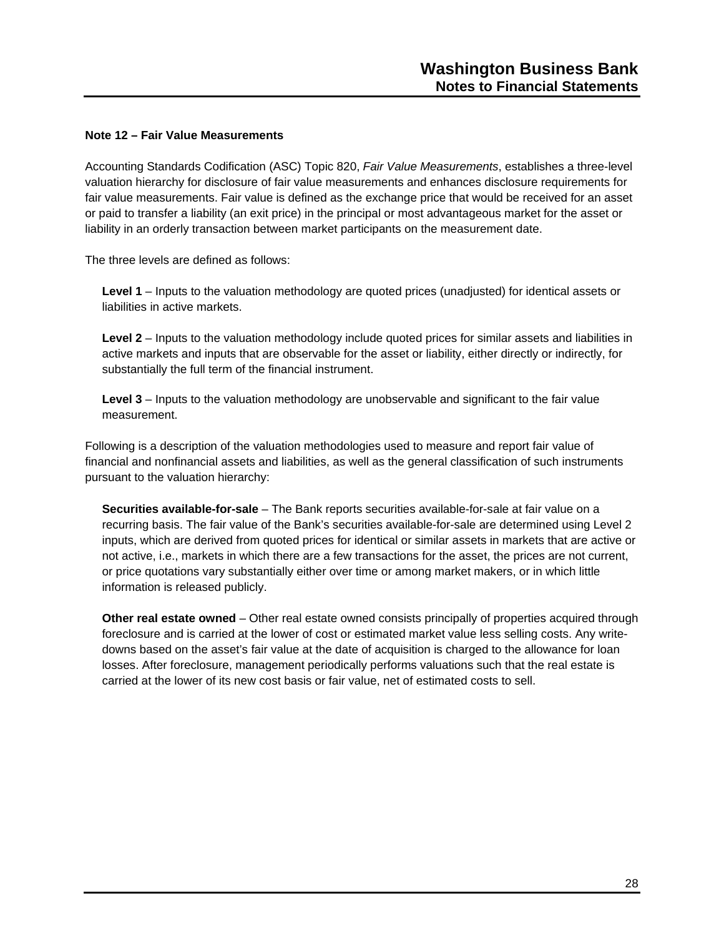#### **Note 12 – Fair Value Measurements**

Accounting Standards Codification (ASC) Topic 820, *Fair Value Measurements*, establishes a three-level valuation hierarchy for disclosure of fair value measurements and enhances disclosure requirements for fair value measurements. Fair value is defined as the exchange price that would be received for an asset or paid to transfer a liability (an exit price) in the principal or most advantageous market for the asset or liability in an orderly transaction between market participants on the measurement date.

The three levels are defined as follows:

**Level 1** – Inputs to the valuation methodology are quoted prices (unadjusted) for identical assets or liabilities in active markets.

**Level 2** – Inputs to the valuation methodology include quoted prices for similar assets and liabilities in active markets and inputs that are observable for the asset or liability, either directly or indirectly, for substantially the full term of the financial instrument.

**Level 3** – Inputs to the valuation methodology are unobservable and significant to the fair value measurement.

Following is a description of the valuation methodologies used to measure and report fair value of financial and nonfinancial assets and liabilities, as well as the general classification of such instruments pursuant to the valuation hierarchy:

**Securities available-for-sale** – The [Bank](#page-0-3) reports securities available-for-sale at fair value on a recurring basis. The fair value of the [Bank's](#page-0-3) securities available-for-sale are determined using Level 2 inputs, which are derived from quoted prices for identical or similar assets in markets that are active or not active, i.e., markets in which there are a few transactions for the asset, the prices are not current, or price quotations vary substantially either over time or among market makers, or in which little information is released publicly.

**Other real estate owned** – Other real estate owned consists principally of properties acquired through foreclosure and is carried at the lower of cost or estimated market value less selling costs. Any writedowns based on the asset's fair value at the date of acquisition is charged to the allowance for loan losses. After foreclosure, management periodically performs valuations such that the real estate is carried at the lower of its new cost basis or fair value, net of estimated costs to sell.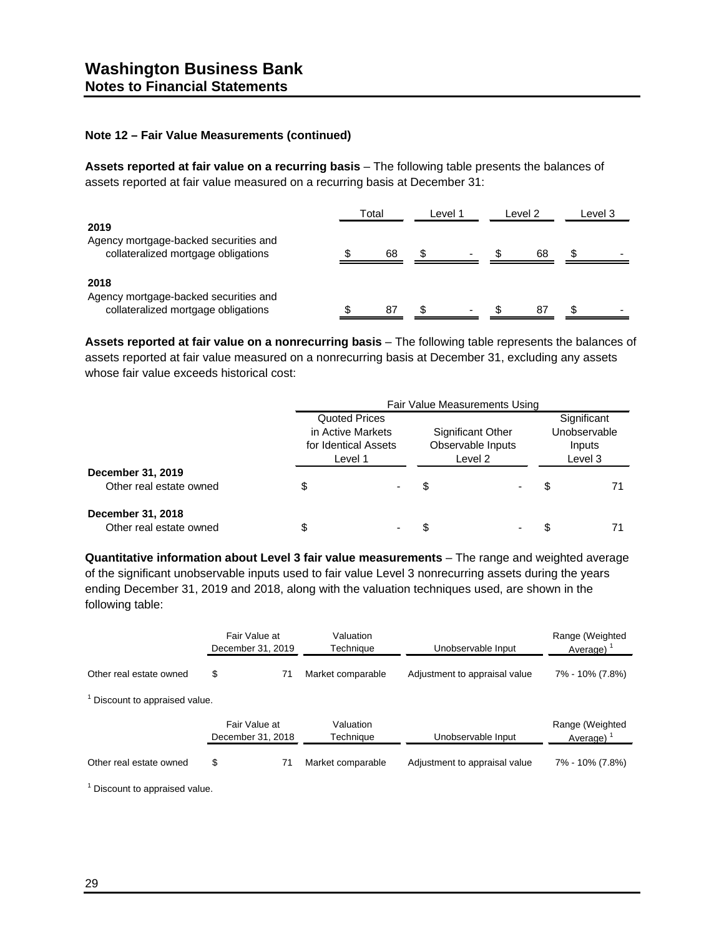#### **Note 12 – Fair Value Measurements (continued)**

**Assets reported at fair value on a recurring basis** – The following table presents the balances of assets reported at fair value measured on a recurring basis at [December](#page-0-1) 31:

|                                                                                      | Total |    |    | Level 1 |     | Level 2 | Level 3 |  |
|--------------------------------------------------------------------------------------|-------|----|----|---------|-----|---------|---------|--|
| 2019<br>Agency mortgage-backed securities and<br>collateralized mortgage obligations | \$.   | 68 | \$ |         | \$. | 68      | £.      |  |
| 2018<br>Agency mortgage-backed securities and<br>collateralized mortgage obligations |       | 87 | \$ |         |     | 87      |         |  |

**Assets reported at fair value on a nonrecurring basis** – The following table represents the balances of assets reported at fair value measured on a nonrecurring basis at [December](#page-0-1) 31, excluding any assets whose fair value exceeds historical cost:

|                         | Fair Value Measurements Using |                      |                   |                          |         |              |  |  |
|-------------------------|-------------------------------|----------------------|-------------------|--------------------------|---------|--------------|--|--|
|                         |                               | <b>Quoted Prices</b> |                   |                          |         | Significant  |  |  |
|                         |                               | in Active Markets    |                   | <b>Significant Other</b> |         | Unobservable |  |  |
|                         | for Identical Assets          |                      | Observable Inputs |                          | Inputs  |              |  |  |
|                         |                               | Level 1              | Level 2           |                          | Level 3 |              |  |  |
| December 31, 2019       |                               |                      |                   |                          |         |              |  |  |
| Other real estate owned | \$                            |                      | S                 |                          | S       |              |  |  |
| December 31, 2018       |                               |                      |                   |                          |         |              |  |  |
| Other real estate owned | \$                            |                      |                   |                          |         |              |  |  |

**Quantitative information about Level 3 fair value measurements** – The range and weighted average of the significant unobservable inputs used to fair value Level 3 nonrecurring assets during the years ending December [31, 2019 and 2018,](#page-0-1) along with the valuation techniques used, are shown in the following table:

|                              | Fair Value at<br>December 31, 2019 | Valuation<br>Technique | Unobservable Input            | Range (Weighted<br>Average) <sup>1</sup> |  |  |
|------------------------------|------------------------------------|------------------------|-------------------------------|------------------------------------------|--|--|
| Other real estate owned      | \$<br>71                           | Market comparable      | Adjustment to appraisal value | 7% - 10% (7.8%)                          |  |  |
| Discount to appraised value. |                                    |                        |                               |                                          |  |  |
|                              | Fair Value at<br>December 31, 2018 | Valuation<br>Technique | Unobservable Input            | Range (Weighted<br>Average) $1$          |  |  |
| Other real estate owned      | \$<br>71                           | Market comparable      | Adjustment to appraisal value | 7% - 10% (7.8%)                          |  |  |

<sup>1</sup> Discount to appraised value.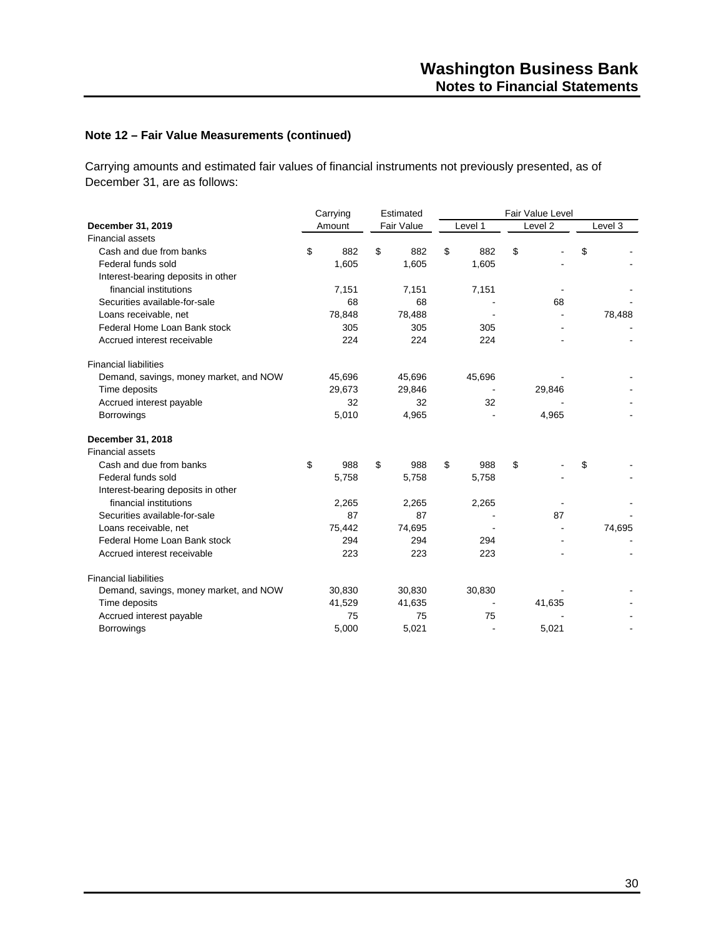#### **Note 12 – Fair Value Measurements (continued)**

Carrying amounts and estimated fair values of financial instruments not previously presented, as of December 31, are as follows:

|                                        | Carrying<br>Estimated |        |    | Fair Value Level |    |                |    |                    |    |         |  |
|----------------------------------------|-----------------------|--------|----|------------------|----|----------------|----|--------------------|----|---------|--|
| December 31, 2019                      |                       | Amount |    | Fair Value       |    | Level 1        |    | Level <sub>2</sub> |    | Level 3 |  |
| <b>Financial assets</b>                |                       |        |    |                  |    |                |    |                    |    |         |  |
| Cash and due from banks                | \$                    | 882    | \$ | 882              | \$ | 882            | \$ |                    | \$ |         |  |
| Federal funds sold                     |                       | 1,605  |    | 1,605            |    | 1,605          |    |                    |    |         |  |
| Interest-bearing deposits in other     |                       |        |    |                  |    |                |    |                    |    |         |  |
| financial institutions                 |                       | 7,151  |    | 7,151            |    | 7,151          |    |                    |    |         |  |
| Securities available-for-sale          |                       | 68     |    | 68               |    |                |    | 68                 |    |         |  |
| Loans receivable, net                  |                       | 78.848 |    | 78.488           |    |                |    |                    |    | 78,488  |  |
| Federal Home Loan Bank stock           |                       | 305    |    | 305              |    | 305            |    |                    |    |         |  |
| Accrued interest receivable            |                       | 224    |    | 224              |    | 224            |    |                    |    |         |  |
| <b>Financial liabilities</b>           |                       |        |    |                  |    |                |    |                    |    |         |  |
| Demand, savings, money market, and NOW |                       | 45,696 |    | 45,696           |    | 45,696         |    |                    |    |         |  |
| Time deposits                          |                       | 29,673 |    | 29,846           |    |                |    | 29,846             |    |         |  |
| Accrued interest payable               |                       | 32     |    | 32               |    | 32             |    |                    |    |         |  |
| Borrowings                             |                       | 5,010  |    | 4,965            |    |                |    | 4,965              |    |         |  |
| December 31, 2018                      |                       |        |    |                  |    |                |    |                    |    |         |  |
| <b>Financial assets</b>                |                       |        |    |                  |    |                |    |                    |    |         |  |
| Cash and due from banks                | \$                    | 988    | \$ | 988              | \$ | 988            | \$ |                    | \$ |         |  |
| Federal funds sold                     |                       | 5,758  |    | 5,758            |    | 5,758          |    |                    |    |         |  |
| Interest-bearing deposits in other     |                       |        |    |                  |    |                |    |                    |    |         |  |
| financial institutions                 |                       | 2,265  |    | 2,265            |    | 2,265          |    |                    |    |         |  |
| Securities available-for-sale          |                       | 87     |    | 87               |    |                |    | 87                 |    |         |  |
| Loans receivable, net                  |                       | 75,442 |    | 74,695           |    |                |    |                    |    | 74,695  |  |
| Federal Home Loan Bank stock           |                       | 294    |    | 294              |    | 294            |    |                    |    |         |  |
| Accrued interest receivable            |                       | 223    |    | 223              |    | 223            |    |                    |    |         |  |
| <b>Financial liabilities</b>           |                       |        |    |                  |    |                |    |                    |    |         |  |
| Demand, savings, money market, and NOW |                       | 30,830 |    | 30,830           |    | 30,830         |    |                    |    |         |  |
| Time deposits                          |                       | 41,529 |    | 41,635           |    | $\blacksquare$ |    | 41,635             |    |         |  |
| Accrued interest payable               |                       | 75     |    | 75               |    | 75             |    |                    |    |         |  |
| <b>Borrowings</b>                      |                       | 5.000  |    | 5.021            |    |                |    | 5.021              |    |         |  |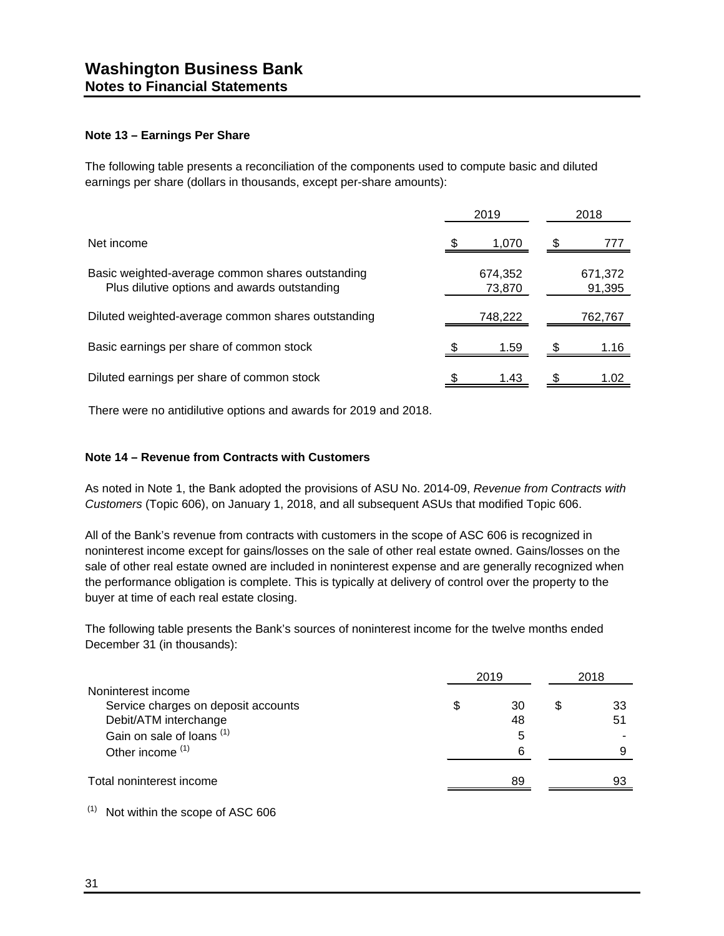#### **Note 13 – Earnings Per Share**

The following table presents a reconciliation of the components used to compute basic and diluted earnings per share (dollars in thousands, except per-share amounts):

|                                                                                                  | 2019 |                   |  | 2018              |  |  |
|--------------------------------------------------------------------------------------------------|------|-------------------|--|-------------------|--|--|
| Net income                                                                                       |      | 1,070             |  |                   |  |  |
| Basic weighted-average common shares outstanding<br>Plus dilutive options and awards outstanding |      | 674,352<br>73,870 |  | 671,372<br>91,395 |  |  |
| Diluted weighted-average common shares outstanding                                               |      | 748.222           |  | 762,767           |  |  |
| Basic earnings per share of common stock                                                         |      | 1.59              |  | 1.16              |  |  |
| Diluted earnings per share of common stock                                                       |      | 1.43              |  | 1.02              |  |  |

There were no antidilutive options and awards for [2019](#page-0-1) and [2018.](#page-0-1)

#### **Note 14 – Revenue from Contracts with Customers**

As noted in Note 1, the Bank adopted the provisions of ASU No. 2014-09, *Revenue from Contracts with Customers* (Topic 606), on January 1, 2018, and all subsequent ASUs that modified Topic 606.

All of the Bank's revenue from contracts with customers in the scope of ASC 606 is recognized in noninterest income except for gains/losses on the sale of other real estate owned. Gains/losses on the sale of other real estate owned are included in noninterest expense and are generally recognized when the performance obligation is complete. This is typically at delivery of control over the property to the buyer at time of each real estate closing.

The following table presents the Bank's sources of noninterest income for the twelve months ended December 31 (in thousands):

|                                      |   | 2019 |   | 2018 |  |
|--------------------------------------|---|------|---|------|--|
| Noninterest income                   |   |      |   |      |  |
| Service charges on deposit accounts  | S | 30   | S | 33   |  |
| Debit/ATM interchange                |   | 48   |   | 51   |  |
| Gain on sale of loans <sup>(1)</sup> |   | 5    |   |      |  |
| Other income <sup>(1)</sup>          |   | ิค   |   |      |  |
| Total noninterest income             |   | 89   |   | 93   |  |
|                                      |   |      |   |      |  |

 $(1)$  Not within the scope of ASC 606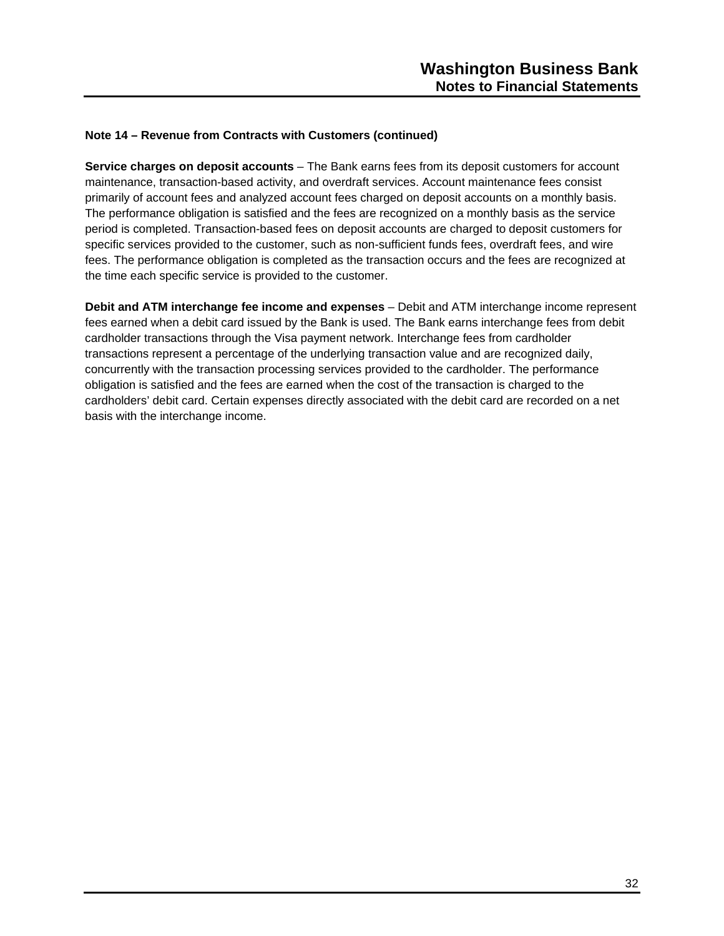#### **Note 14 – Revenue from Contracts with Customers (continued)**

**Service charges on deposit accounts** – The Bank earns fees from its deposit customers for account maintenance, transaction-based activity, and overdraft services. Account maintenance fees consist primarily of account fees and analyzed account fees charged on deposit accounts on a monthly basis. The performance obligation is satisfied and the fees are recognized on a monthly basis as the service period is completed. Transaction-based fees on deposit accounts are charged to deposit customers for specific services provided to the customer, such as non-sufficient funds fees, overdraft fees, and wire fees. The performance obligation is completed as the transaction occurs and the fees are recognized at the time each specific service is provided to the customer.

**Debit and ATM interchange fee income and expenses** – Debit and ATM interchange income represent fees earned when a debit card issued by the Bank is used. The Bank earns interchange fees from debit cardholder transactions through the Visa payment network. Interchange fees from cardholder transactions represent a percentage of the underlying transaction value and are recognized daily, concurrently with the transaction processing services provided to the cardholder. The performance obligation is satisfied and the fees are earned when the cost of the transaction is charged to the cardholders' debit card. Certain expenses directly associated with the debit card are recorded on a net basis with the interchange income.